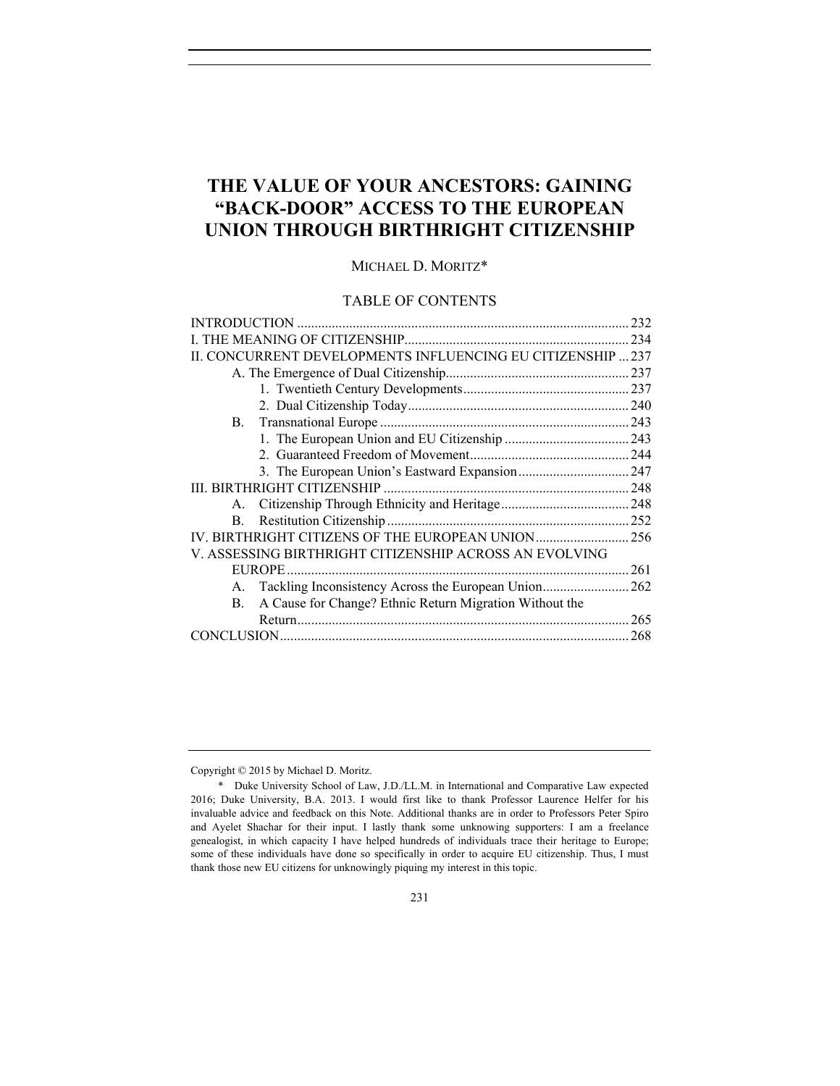# **THE VALUE OF YOUR ANCESTORS: GAINING "BACK-DOOR" ACCESS TO THE EUROPEAN UNION THROUGH BIRTHRIGHT CITIZENSHIP**

MICHAEL D. MORITZ\*

## TABLE OF CONTENTS

|                                                               | 232  |
|---------------------------------------------------------------|------|
|                                                               | 234  |
| CONCURRENT DEVELOPMENTS INFLUENCING EU CITIZENSHIP  237       |      |
|                                                               | .237 |
|                                                               | .237 |
|                                                               |      |
| B.                                                            |      |
|                                                               |      |
|                                                               | .244 |
|                                                               | .247 |
|                                                               |      |
| $A_{1}$                                                       |      |
| B.                                                            | .252 |
| IV. BIRTHRIGHT CITIZENS OF THE EUROPEAN UNION                 | 256  |
| V. ASSESSING BIRTHRIGHT CITIZENSHIP ACROSS AN EVOLVING        |      |
| <b>EUROPE</b>                                                 | 261  |
|                                                               | .262 |
| A Cause for Change? Ethnic Return Migration Without the<br>В. |      |
|                                                               | 265  |
| CONCLUSION.                                                   | 268  |
|                                                               |      |

Copyright © 2015 by Michael D. Moritz.

 <sup>\*</sup> Duke University School of Law, J.D./LL.M. in International and Comparative Law expected 2016; Duke University, B.A. 2013. I would first like to thank Professor Laurence Helfer for his invaluable advice and feedback on this Note. Additional thanks are in order to Professors Peter Spiro and Ayelet Shachar for their input. I lastly thank some unknowing supporters: I am a freelance genealogist, in which capacity I have helped hundreds of individuals trace their heritage to Europe; some of these individuals have done so specifically in order to acquire EU citizenship. Thus, I must thank those new EU citizens for unknowingly piquing my interest in this topic.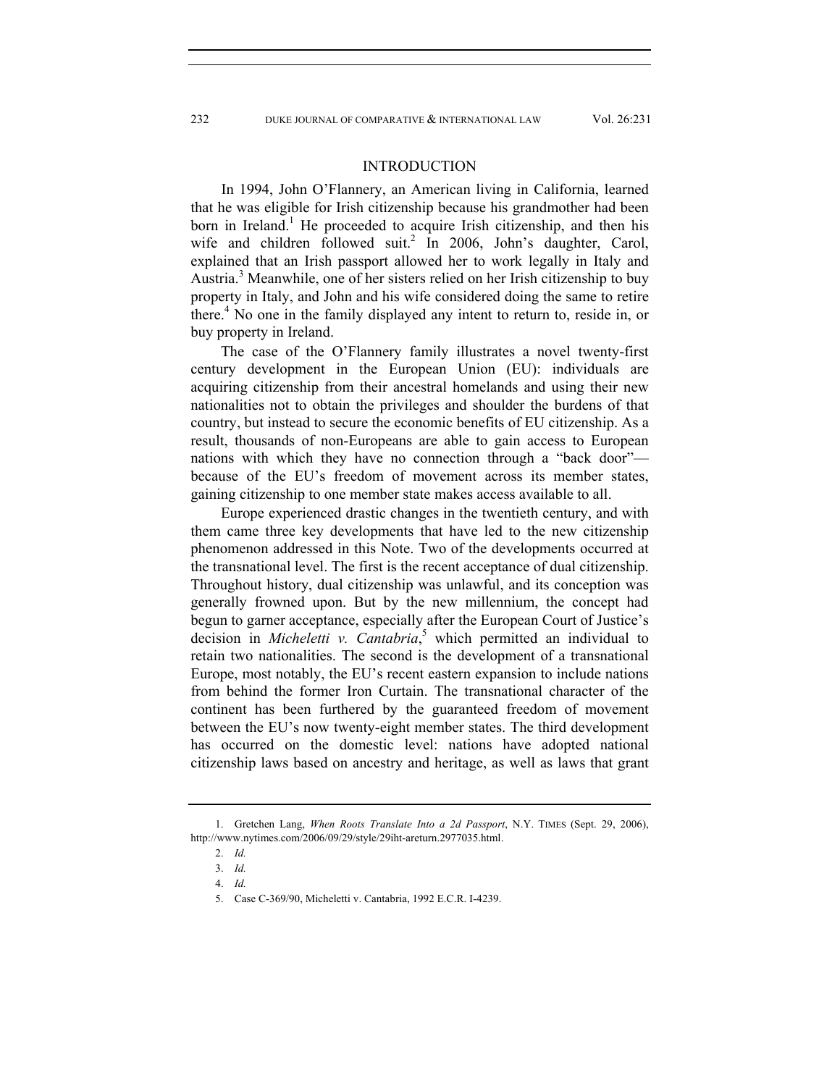## INTRODUCTION

In 1994, John O'Flannery, an American living in California, learned that he was eligible for Irish citizenship because his grandmother had been born in Ireland.<sup>1</sup> He proceeded to acquire Irish citizenship, and then his wife and children followed suit.<sup>2</sup> In 2006, John's daughter, Carol, explained that an Irish passport allowed her to work legally in Italy and Austria.<sup>3</sup> Meanwhile, one of her sisters relied on her Irish citizenship to buy property in Italy, and John and his wife considered doing the same to retire there.<sup>4</sup> No one in the family displayed any intent to return to, reside in, or buy property in Ireland.

The case of the O'Flannery family illustrates a novel twenty-first century development in the European Union (EU): individuals are acquiring citizenship from their ancestral homelands and using their new nationalities not to obtain the privileges and shoulder the burdens of that country, but instead to secure the economic benefits of EU citizenship. As a result, thousands of non-Europeans are able to gain access to European nations with which they have no connection through a "back door" because of the EU's freedom of movement across its member states, gaining citizenship to one member state makes access available to all.

Europe experienced drastic changes in the twentieth century, and with them came three key developments that have led to the new citizenship phenomenon addressed in this Note. Two of the developments occurred at the transnational level. The first is the recent acceptance of dual citizenship. Throughout history, dual citizenship was unlawful, and its conception was generally frowned upon. But by the new millennium, the concept had begun to garner acceptance, especially after the European Court of Justice's decision in *Micheletti v. Cantabria*, 5 which permitted an individual to retain two nationalities. The second is the development of a transnational Europe, most notably, the EU's recent eastern expansion to include nations from behind the former Iron Curtain. The transnational character of the continent has been furthered by the guaranteed freedom of movement between the EU's now twenty-eight member states. The third development has occurred on the domestic level: nations have adopted national citizenship laws based on ancestry and heritage, as well as laws that grant

 <sup>1.</sup> Gretchen Lang, *When Roots Translate Into a 2d Passport*, N.Y. TIMES (Sept. 29, 2006), http://www.nytimes.com/2006/09/29/style/29iht-areturn.2977035.html.

 <sup>2.</sup> *Id.* 

 <sup>3.</sup> *Id.* 

 <sup>4.</sup> *Id.* 

 <sup>5.</sup> Case C-369/90, Micheletti v. Cantabria, 1992 E.C.R. I-4239.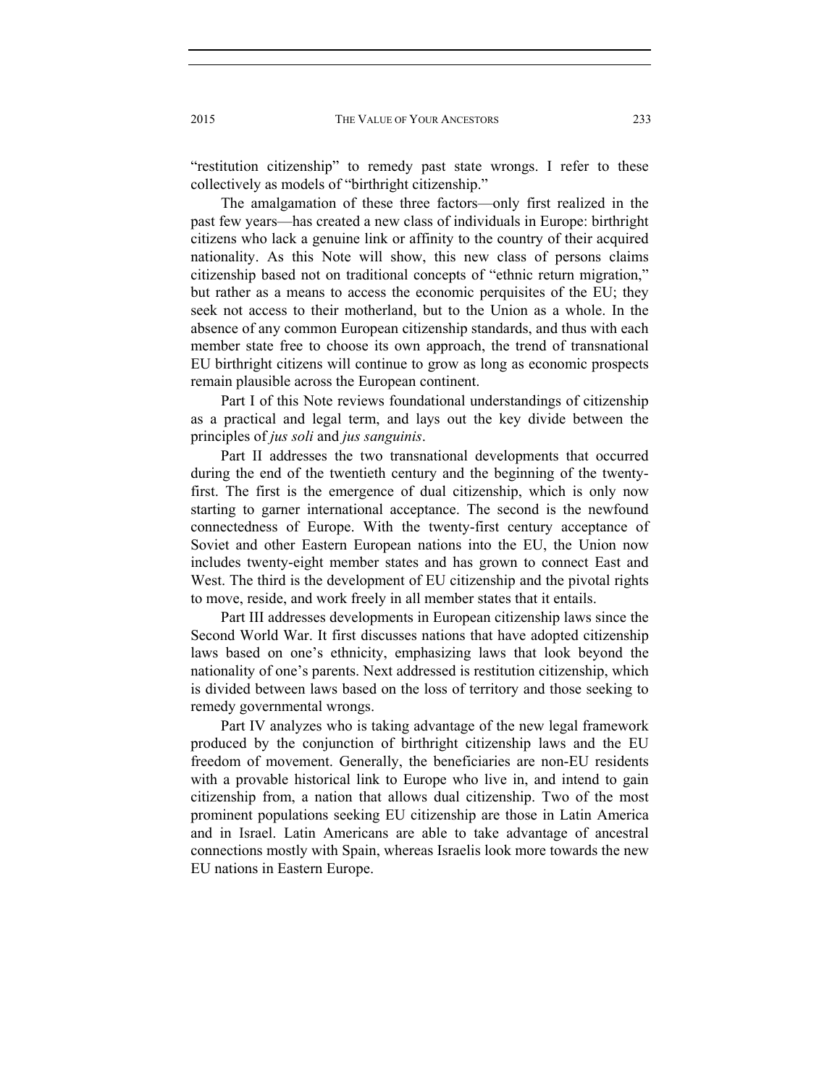"restitution citizenship" to remedy past state wrongs. I refer to these collectively as models of "birthright citizenship."

The amalgamation of these three factors—only first realized in the past few years—has created a new class of individuals in Europe: birthright citizens who lack a genuine link or affinity to the country of their acquired nationality. As this Note will show, this new class of persons claims citizenship based not on traditional concepts of "ethnic return migration," but rather as a means to access the economic perquisites of the EU; they seek not access to their motherland, but to the Union as a whole. In the absence of any common European citizenship standards, and thus with each member state free to choose its own approach, the trend of transnational EU birthright citizens will continue to grow as long as economic prospects remain plausible across the European continent.

Part I of this Note reviews foundational understandings of citizenship as a practical and legal term, and lays out the key divide between the principles of *jus soli* and *jus sanguinis*.

Part II addresses the two transnational developments that occurred during the end of the twentieth century and the beginning of the twentyfirst. The first is the emergence of dual citizenship, which is only now starting to garner international acceptance. The second is the newfound connectedness of Europe. With the twenty-first century acceptance of Soviet and other Eastern European nations into the EU, the Union now includes twenty-eight member states and has grown to connect East and West. The third is the development of EU citizenship and the pivotal rights to move, reside, and work freely in all member states that it entails.

Part III addresses developments in European citizenship laws since the Second World War. It first discusses nations that have adopted citizenship laws based on one's ethnicity, emphasizing laws that look beyond the nationality of one's parents. Next addressed is restitution citizenship, which is divided between laws based on the loss of territory and those seeking to remedy governmental wrongs.

Part IV analyzes who is taking advantage of the new legal framework produced by the conjunction of birthright citizenship laws and the EU freedom of movement. Generally, the beneficiaries are non-EU residents with a provable historical link to Europe who live in, and intend to gain citizenship from, a nation that allows dual citizenship. Two of the most prominent populations seeking EU citizenship are those in Latin America and in Israel. Latin Americans are able to take advantage of ancestral connections mostly with Spain, whereas Israelis look more towards the new EU nations in Eastern Europe.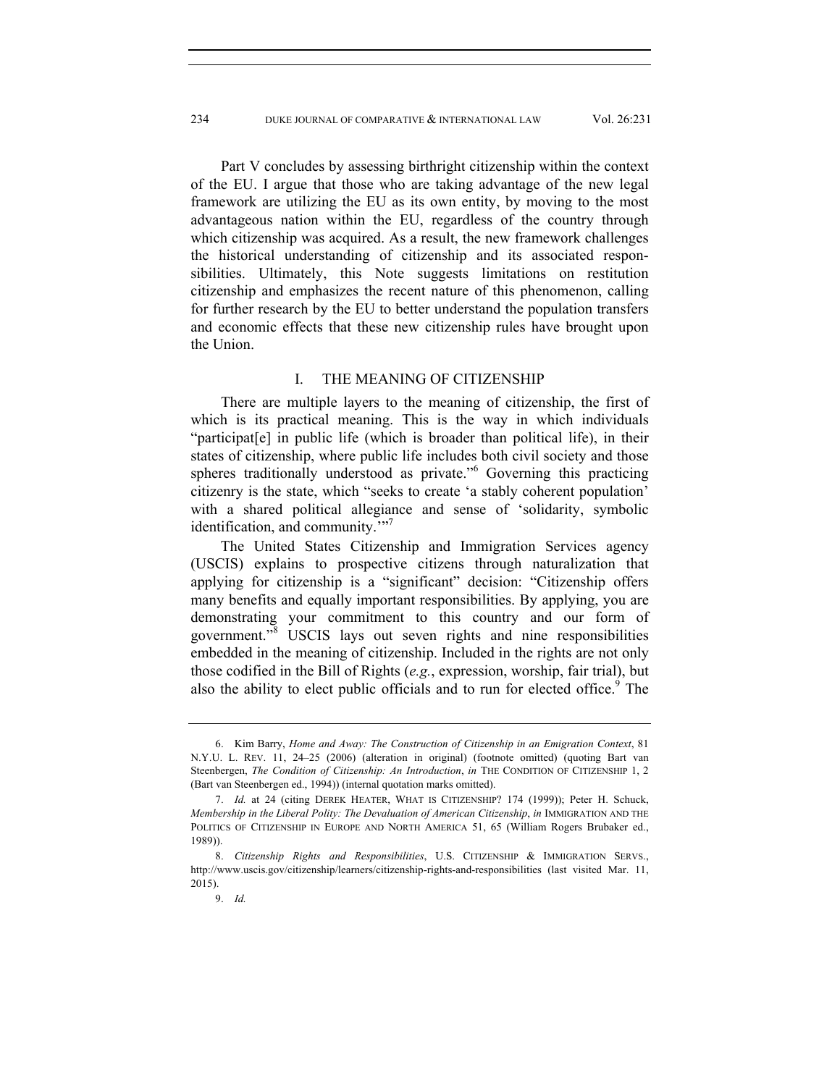Part V concludes by assessing birthright citizenship within the context of the EU. I argue that those who are taking advantage of the new legal framework are utilizing the EU as its own entity, by moving to the most advantageous nation within the EU, regardless of the country through which citizenship was acquired. As a result, the new framework challenges the historical understanding of citizenship and its associated responsibilities. Ultimately, this Note suggests limitations on restitution citizenship and emphasizes the recent nature of this phenomenon, calling for further research by the EU to better understand the population transfers and economic effects that these new citizenship rules have brought upon the Union.

## I. THE MEANING OF CITIZENSHIP

There are multiple layers to the meaning of citizenship, the first of which is its practical meaning. This is the way in which individuals "participat[e] in public life (which is broader than political life), in their states of citizenship, where public life includes both civil society and those spheres traditionally understood as private."<sup>6</sup> Governing this practicing citizenry is the state, which "seeks to create 'a stably coherent population' with a shared political allegiance and sense of 'solidarity, symbolic identification, and community."<sup>7</sup>

The United States Citizenship and Immigration Services agency (USCIS) explains to prospective citizens through naturalization that applying for citizenship is a "significant" decision: "Citizenship offers many benefits and equally important responsibilities. By applying, you are demonstrating your commitment to this country and our form of government."<sup>8</sup> USCIS lays out seven rights and nine responsibilities embedded in the meaning of citizenship. Included in the rights are not only those codified in the Bill of Rights (*e.g.*, expression, worship, fair trial), but also the ability to elect public officials and to run for elected office.<sup>9</sup> The

 <sup>6.</sup> Kim Barry, *Home and Away: The Construction of Citizenship in an Emigration Context*, 81 N.Y.U. L. REV. 11, 24–25 (2006) (alteration in original) (footnote omitted) (quoting Bart van Steenbergen, *The Condition of Citizenship: An Introduction*, *in* THE CONDITION OF CITIZENSHIP 1, 2 (Bart van Steenbergen ed., 1994)) (internal quotation marks omitted).

 <sup>7.</sup> *Id.* at 24 (citing DEREK HEATER, WHAT IS CITIZENSHIP? 174 (1999)); Peter H. Schuck, *Membership in the Liberal Polity: The Devaluation of American Citizenship*, *in* IMMIGRATION AND THE POLITICS OF CITIZENSHIP IN EUROPE AND NORTH AMERICA 51, 65 (William Rogers Brubaker ed., 1989)).

 <sup>8.</sup> *Citizenship Rights and Responsibilities*, U.S. CITIZENSHIP & IMMIGRATION SERVS., http://www.uscis.gov/citizenship/learners/citizenship-rights-and-responsibilities (last visited Mar. 11, 2015).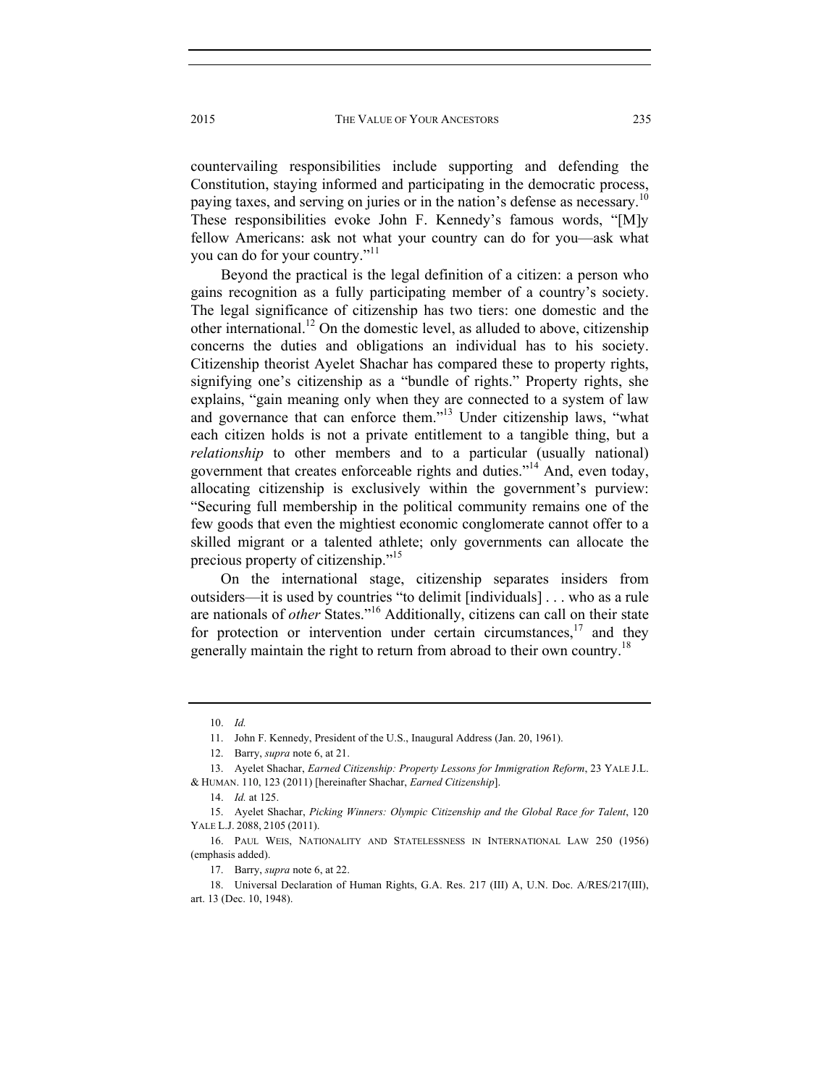countervailing responsibilities include supporting and defending the Constitution, staying informed and participating in the democratic process, paying taxes, and serving on juries or in the nation's defense as necessary.<sup>10</sup> These responsibilities evoke John F. Kennedy's famous words, "[M]y fellow Americans: ask not what your country can do for you—ask what you can do for your country."<sup>11</sup>

Beyond the practical is the legal definition of a citizen: a person who gains recognition as a fully participating member of a country's society. The legal significance of citizenship has two tiers: one domestic and the other international.<sup>12</sup> On the domestic level, as alluded to above, citizenship concerns the duties and obligations an individual has to his society. Citizenship theorist Ayelet Shachar has compared these to property rights, signifying one's citizenship as a "bundle of rights." Property rights, she explains, "gain meaning only when they are connected to a system of law and governance that can enforce them."<sup>13</sup> Under citizenship laws, "what each citizen holds is not a private entitlement to a tangible thing, but a *relationship* to other members and to a particular (usually national) government that creates enforceable rights and duties."14 And, even today, allocating citizenship is exclusively within the government's purview: "Securing full membership in the political community remains one of the few goods that even the mightiest economic conglomerate cannot offer to a skilled migrant or a talented athlete; only governments can allocate the precious property of citizenship."15

On the international stage, citizenship separates insiders from outsiders—it is used by countries "to delimit [individuals] . . . who as a rule are nationals of *other* States."16 Additionally, citizens can call on their state for protection or intervention under certain circumstances,  $17$  and they generally maintain the right to return from abroad to their own country.<sup>18</sup>

 <sup>10.</sup> *Id.* 

 <sup>11.</sup> John F. Kennedy, President of the U.S., Inaugural Address (Jan. 20, 1961).

 <sup>12.</sup> Barry, *supra* note 6, at 21.

 <sup>13.</sup> Ayelet Shachar, *Earned Citizenship: Property Lessons for Immigration Reform*, 23 YALE J.L. & HUMAN. 110, 123 (2011) [hereinafter Shachar, *Earned Citizenship*].

 <sup>14.</sup> *Id.* at 125.

 <sup>15.</sup> Ayelet Shachar, *Picking Winners: Olympic Citizenship and the Global Race for Talent*, 120 YALE L.J. 2088, 2105 (2011).

 <sup>16.</sup> PAUL WEIS, NATIONALITY AND STATELESSNESS IN INTERNATIONAL LAW 250 (1956) (emphasis added).

 <sup>17.</sup> Barry, *supra* note 6, at 22.

 <sup>18.</sup> Universal Declaration of Human Rights, G.A. Res. 217 (III) A, U.N. Doc. A/RES/217(III), art. 13 (Dec. 10, 1948).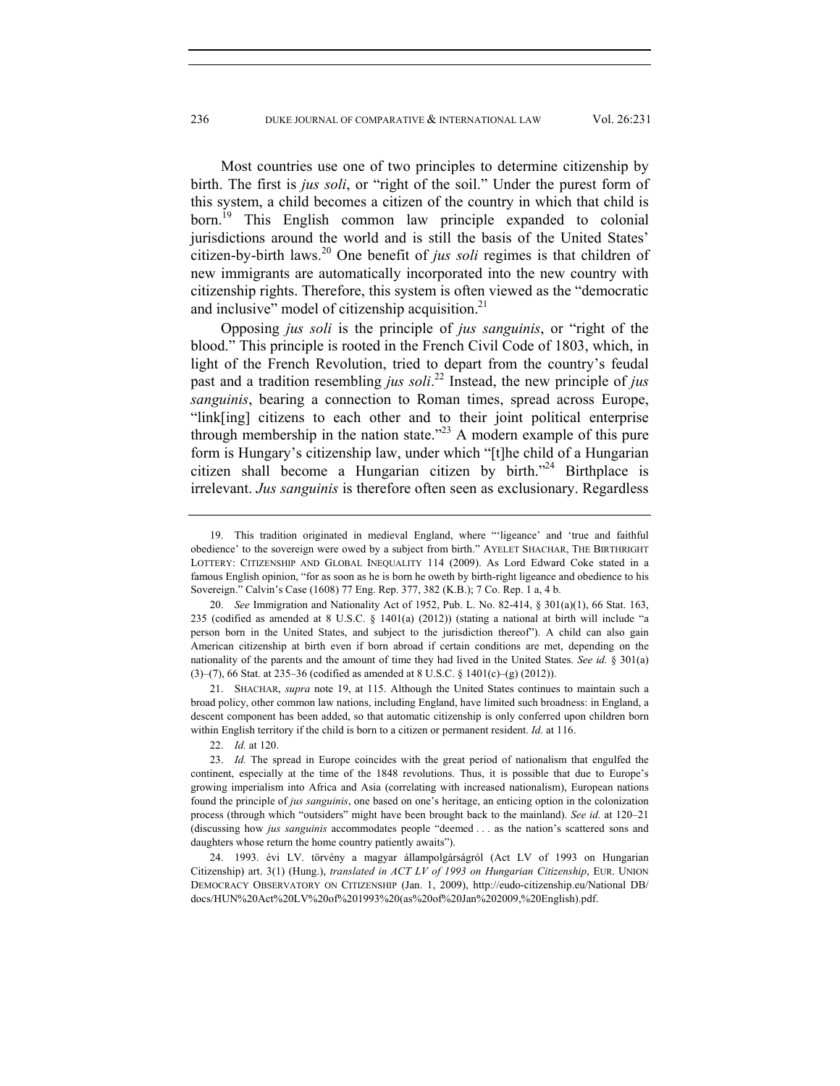Most countries use one of two principles to determine citizenship by birth. The first is *jus soli*, or "right of the soil." Under the purest form of this system, a child becomes a citizen of the country in which that child is born.<sup>19</sup> This English common law principle expanded to colonial jurisdictions around the world and is still the basis of the United States' citizen-by-birth laws.20 One benefit of *jus soli* regimes is that children of new immigrants are automatically incorporated into the new country with citizenship rights. Therefore, this system is often viewed as the "democratic and inclusive" model of citizenship acquisition. $2<sup>1</sup>$ 

Opposing *jus soli* is the principle of *jus sanguinis*, or "right of the blood." This principle is rooted in the French Civil Code of 1803, which, in light of the French Revolution, tried to depart from the country's feudal past and a tradition resembling *jus soli*. 22 Instead, the new principle of *jus sanguinis*, bearing a connection to Roman times, spread across Europe, "link[ing] citizens to each other and to their joint political enterprise through membership in the nation state.<sup> $22$ </sup> A modern example of this pure form is Hungary's citizenship law, under which "[t]he child of a Hungarian citizen shall become a Hungarian citizen by birth. $12<sup>24</sup>$  Birthplace is irrelevant. *Jus sanguinis* is therefore often seen as exclusionary. Regardless

 <sup>19.</sup> This tradition originated in medieval England, where "'ligeance' and 'true and faithful obedience' to the sovereign were owed by a subject from birth." AYELET SHACHAR, THE BIRTHRIGHT LOTTERY: CITIZENSHIP AND GLOBAL INEQUALITY 114 (2009). As Lord Edward Coke stated in a famous English opinion, "for as soon as he is born he oweth by birth-right ligeance and obedience to his Sovereign." Calvin's Case (1608) 77 Eng. Rep. 377, 382 (K.B.); 7 Co. Rep. 1 a, 4 b.

 <sup>20.</sup> *See* Immigration and Nationality Act of 1952, Pub. L. No. 82-414, § 301(a)(1), 66 Stat. 163, 235 (codified as amended at 8 U.S.C. § 1401(a) (2012)) (stating a national at birth will include "a person born in the United States, and subject to the jurisdiction thereof"). A child can also gain American citizenship at birth even if born abroad if certain conditions are met, depending on the nationality of the parents and the amount of time they had lived in the United States. *See id.* § 301(a) (3)–(7), 66 Stat. at 235–36 (codified as amended at 8 U.S.C. § 1401(c)–(g) (2012)).

 <sup>21.</sup> SHACHAR, *supra* note 19, at 115. Although the United States continues to maintain such a broad policy, other common law nations, including England, have limited such broadness: in England, a descent component has been added, so that automatic citizenship is only conferred upon children born within English territory if the child is born to a citizen or permanent resident. *Id.* at 116.

 <sup>22.</sup> *Id.* at 120.

 <sup>23.</sup> *Id.* The spread in Europe coincides with the great period of nationalism that engulfed the continent, especially at the time of the 1848 revolutions. Thus, it is possible that due to Europe's growing imperialism into Africa and Asia (correlating with increased nationalism), European nations found the principle of *jus sanguinis*, one based on one's heritage, an enticing option in the colonization process (through which "outsiders" might have been brought back to the mainland). *See id.* at 120–21 (discussing how *jus sanguinis* accommodates people "deemed . . . as the nation's scattered sons and daughters whose return the home country patiently awaits").

 <sup>24. 1993.</sup> évi LV. törvény a magyar állampolgárságról (Act LV of 1993 on Hungarian Citizenship) art. 3(1) (Hung.), *translated in ACT LV of 1993 on Hungarian Citizenship*, EUR. UNION DEMOCRACY OBSERVATORY ON CITIZENSHIP (Jan. 1, 2009), http://eudo-citizenship.eu/National DB/ docs/HUN%20Act%20LV%20of%201993%20(as%20of%20Jan%202009,%20English).pdf.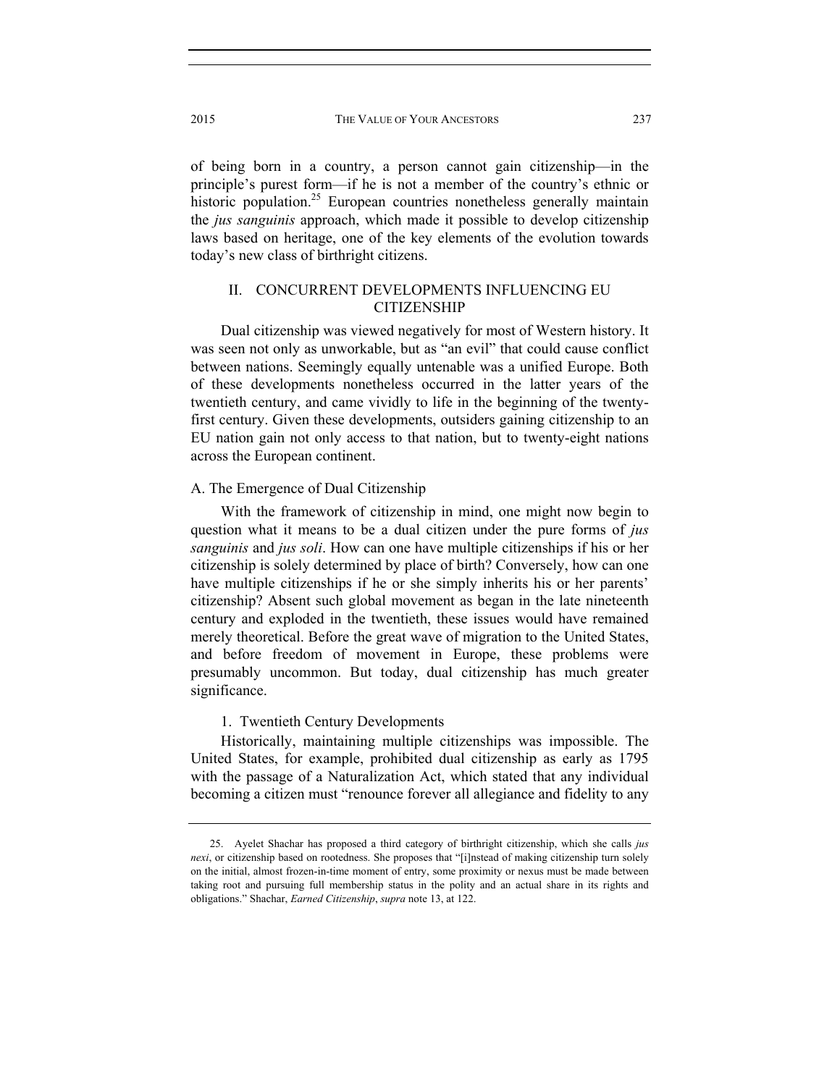of being born in a country, a person cannot gain citizenship—in the principle's purest form—if he is not a member of the country's ethnic or historic population.<sup>25</sup> European countries nonetheless generally maintain the *jus sanguinis* approach, which made it possible to develop citizenship laws based on heritage, one of the key elements of the evolution towards today's new class of birthright citizens.

# II. CONCURRENT DEVELOPMENTS INFLUENCING EU CITIZENSHIP

Dual citizenship was viewed negatively for most of Western history. It was seen not only as unworkable, but as "an evil" that could cause conflict between nations. Seemingly equally untenable was a unified Europe. Both of these developments nonetheless occurred in the latter years of the twentieth century, and came vividly to life in the beginning of the twentyfirst century. Given these developments, outsiders gaining citizenship to an EU nation gain not only access to that nation, but to twenty-eight nations across the European continent.

#### A. The Emergence of Dual Citizenship

With the framework of citizenship in mind, one might now begin to question what it means to be a dual citizen under the pure forms of *jus sanguinis* and *jus soli*. How can one have multiple citizenships if his or her citizenship is solely determined by place of birth? Conversely, how can one have multiple citizenships if he or she simply inherits his or her parents' citizenship? Absent such global movement as began in the late nineteenth century and exploded in the twentieth, these issues would have remained merely theoretical. Before the great wave of migration to the United States, and before freedom of movement in Europe, these problems were presumably uncommon. But today, dual citizenship has much greater significance.

### 1. Twentieth Century Developments

Historically, maintaining multiple citizenships was impossible. The United States, for example, prohibited dual citizenship as early as 1795 with the passage of a Naturalization Act, which stated that any individual becoming a citizen must "renounce forever all allegiance and fidelity to any

 <sup>25.</sup> Ayelet Shachar has proposed a third category of birthright citizenship, which she calls *jus nexi*, or citizenship based on rootedness. She proposes that "[i]nstead of making citizenship turn solely on the initial, almost frozen-in-time moment of entry, some proximity or nexus must be made between taking root and pursuing full membership status in the polity and an actual share in its rights and obligations." Shachar, *Earned Citizenship*, *supra* note 13, at 122.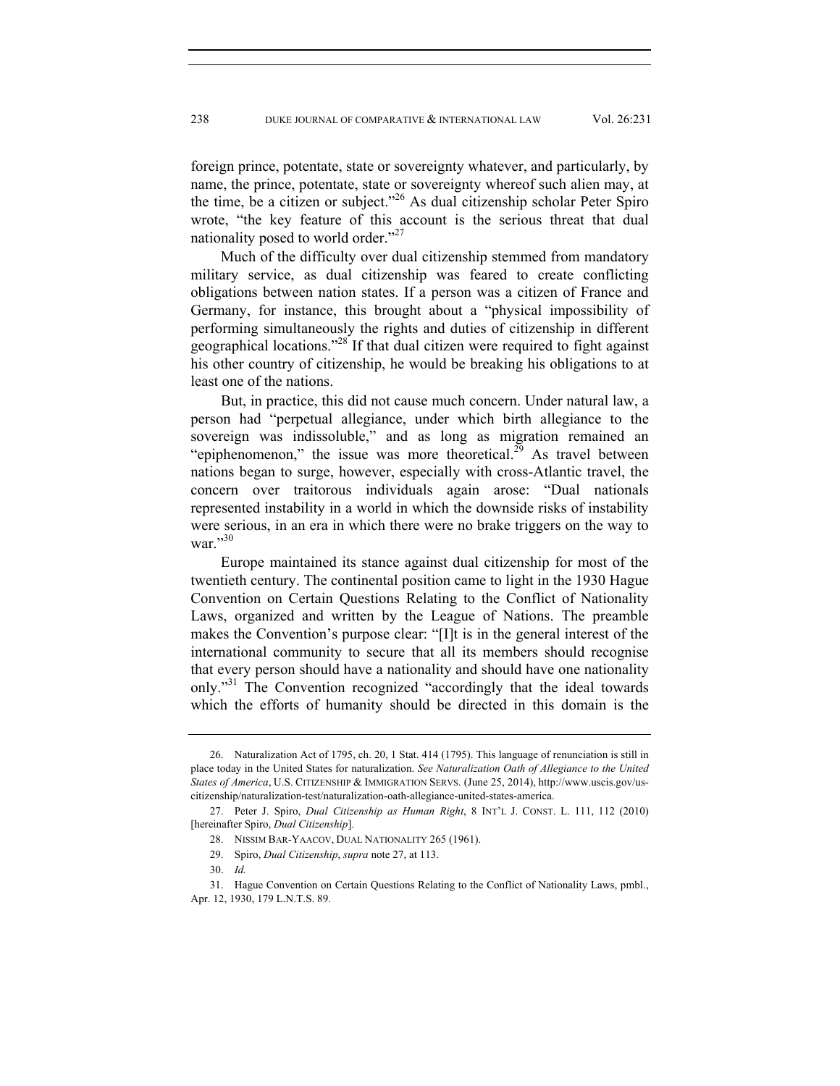foreign prince, potentate, state or sovereignty whatever, and particularly, by name, the prince, potentate, state or sovereignty whereof such alien may, at the time, be a citizen or subject."26 As dual citizenship scholar Peter Spiro wrote, "the key feature of this account is the serious threat that dual nationality posed to world order."<sup>27</sup>

Much of the difficulty over dual citizenship stemmed from mandatory military service, as dual citizenship was feared to create conflicting obligations between nation states. If a person was a citizen of France and Germany, for instance, this brought about a "physical impossibility of performing simultaneously the rights and duties of citizenship in different geographical locations."28 If that dual citizen were required to fight against his other country of citizenship, he would be breaking his obligations to at least one of the nations.

But, in practice, this did not cause much concern. Under natural law, a person had "perpetual allegiance, under which birth allegiance to the sovereign was indissoluble," and as long as migration remained an "epiphenomenon," the issue was more theoretical. $2^9$  As travel between nations began to surge, however, especially with cross-Atlantic travel, the concern over traitorous individuals again arose: "Dual nationals represented instability in a world in which the downside risks of instability were serious, in an era in which there were no brake triggers on the way to war. $^{30}$ 

Europe maintained its stance against dual citizenship for most of the twentieth century. The continental position came to light in the 1930 Hague Convention on Certain Questions Relating to the Conflict of Nationality Laws, organized and written by the League of Nations. The preamble makes the Convention's purpose clear: "[I]t is in the general interest of the international community to secure that all its members should recognise that every person should have a nationality and should have one nationality only."<sup>31</sup> The Convention recognized "accordingly that the ideal towards" which the efforts of humanity should be directed in this domain is the

 <sup>26.</sup> Naturalization Act of 1795, ch. 20, 1 Stat. 414 (1795). This language of renunciation is still in place today in the United States for naturalization. *See Naturalization Oath of Allegiance to the United States of America*, U.S. CITIZENSHIP & IMMIGRATION SERVS. (June 25, 2014), http://www.uscis.gov/uscitizenship/naturalization-test/naturalization-oath-allegiance-united-states-america.

 <sup>27.</sup> Peter J. Spiro, *Dual Citizenship as Human Right*, 8 INT'L J. CONST. L. 111, 112 (2010) [hereinafter Spiro, *Dual Citizenship*].

 <sup>28.</sup> NISSIM BAR-YAACOV, DUAL NATIONALITY 265 (1961).

 <sup>29.</sup> Spiro, *Dual Citizenship*, *supra* note 27, at 113.

 <sup>30.</sup> *Id.* 

 <sup>31.</sup> Hague Convention on Certain Questions Relating to the Conflict of Nationality Laws, pmbl., Apr. 12, 1930, 179 L.N.T.S. 89.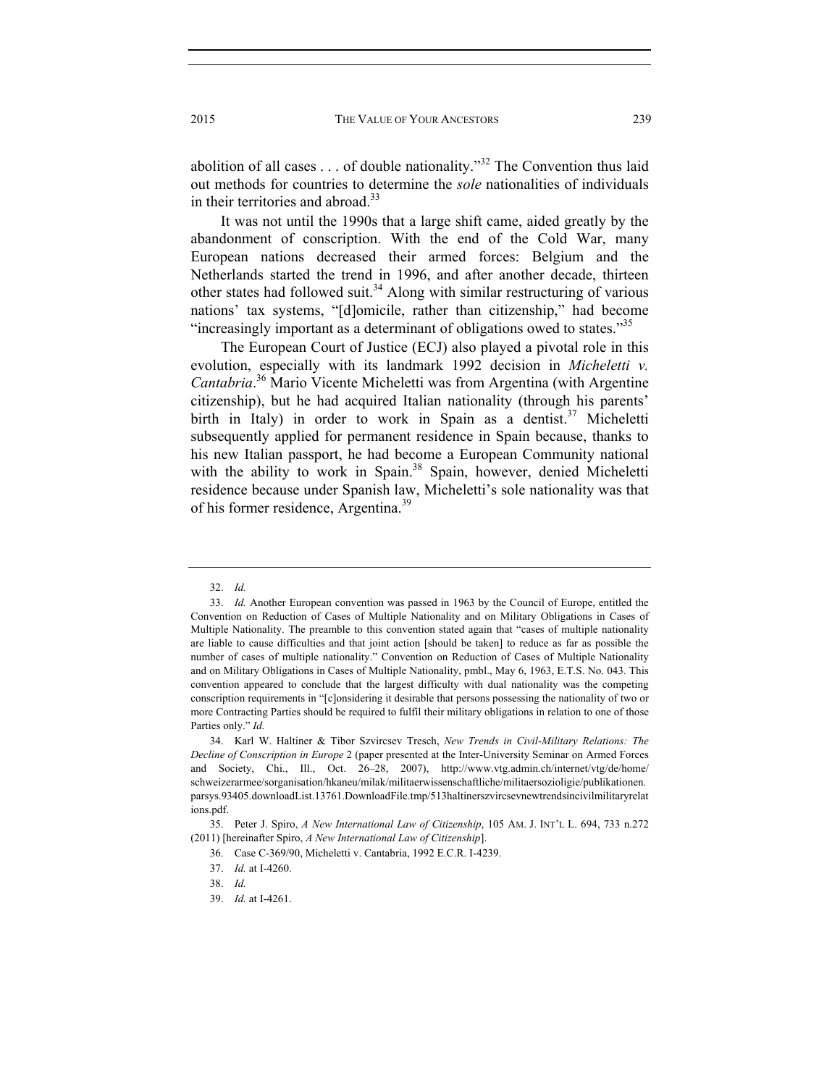abolition of all cases . . . of double nationality."32 The Convention thus laid out methods for countries to determine the *sole* nationalities of individuals in their territories and abroad.<sup>33</sup>

It was not until the 1990s that a large shift came, aided greatly by the abandonment of conscription. With the end of the Cold War, many European nations decreased their armed forces: Belgium and the Netherlands started the trend in 1996, and after another decade, thirteen other states had followed suit.<sup>34</sup> Along with similar restructuring of various nations' tax systems, "[d]omicile, rather than citizenship," had become "increasingly important as a determinant of obligations owed to states."<sup>35</sup>

The European Court of Justice (ECJ) also played a pivotal role in this evolution, especially with its landmark 1992 decision in *Micheletti v. Cantabria*. 36 Mario Vicente Micheletti was from Argentina (with Argentine citizenship), but he had acquired Italian nationality (through his parents' birth in Italy) in order to work in Spain as a dentist.<sup>37</sup> Micheletti subsequently applied for permanent residence in Spain because, thanks to his new Italian passport, he had become a European Community national with the ability to work in Spain.<sup>38</sup> Spain, however, denied Micheletti residence because under Spanish law, Micheletti's sole nationality was that of his former residence, Argentina.<sup>39</sup>

 <sup>32.</sup> *Id.* 

 <sup>33.</sup> *Id.* Another European convention was passed in 1963 by the Council of Europe, entitled the Convention on Reduction of Cases of Multiple Nationality and on Military Obligations in Cases of Multiple Nationality. The preamble to this convention stated again that "cases of multiple nationality are liable to cause difficulties and that joint action [should be taken] to reduce as far as possible the number of cases of multiple nationality." Convention on Reduction of Cases of Multiple Nationality and on Military Obligations in Cases of Multiple Nationality, pmbl., May 6, 1963, E.T.S. No. 043. This convention appeared to conclude that the largest difficulty with dual nationality was the competing conscription requirements in "[c]onsidering it desirable that persons possessing the nationality of two or more Contracting Parties should be required to fulfil their military obligations in relation to one of those Parties only." *Id.* 

 <sup>34.</sup> Karl W. Haltiner & Tibor Szvircsev Tresch, *New Trends in Civil-Military Relations: The Decline of Conscription in Europe* 2 (paper presented at the Inter-University Seminar on Armed Forces and Society, Chi., Ill., Oct. 26–28, 2007), http://www.vtg.admin.ch/internet/vtg/de/home/ schweizerarmee/sorganisation/hkaneu/milak/militaerwissenschaftliche/militaersozioligie/publikationen. parsys.93405.downloadList.13761.DownloadFile.tmp/513haltinerszvircsevnewtrendsincivilmilitaryrelat ions.pdf.

 <sup>35.</sup> Peter J. Spiro, *A New International Law of Citizenship*, 105 AM. J. INT'L L. 694, 733 n.272 (2011) [hereinafter Spiro, *A New International Law of Citizenship*].

 <sup>36.</sup> Case C-369/90, Micheletti v. Cantabria, 1992 E.C.R. I-4239.

 <sup>37.</sup> *Id.* at I-4260.

 <sup>38.</sup> *Id.* 

 <sup>39.</sup> *Id.* at I-4261.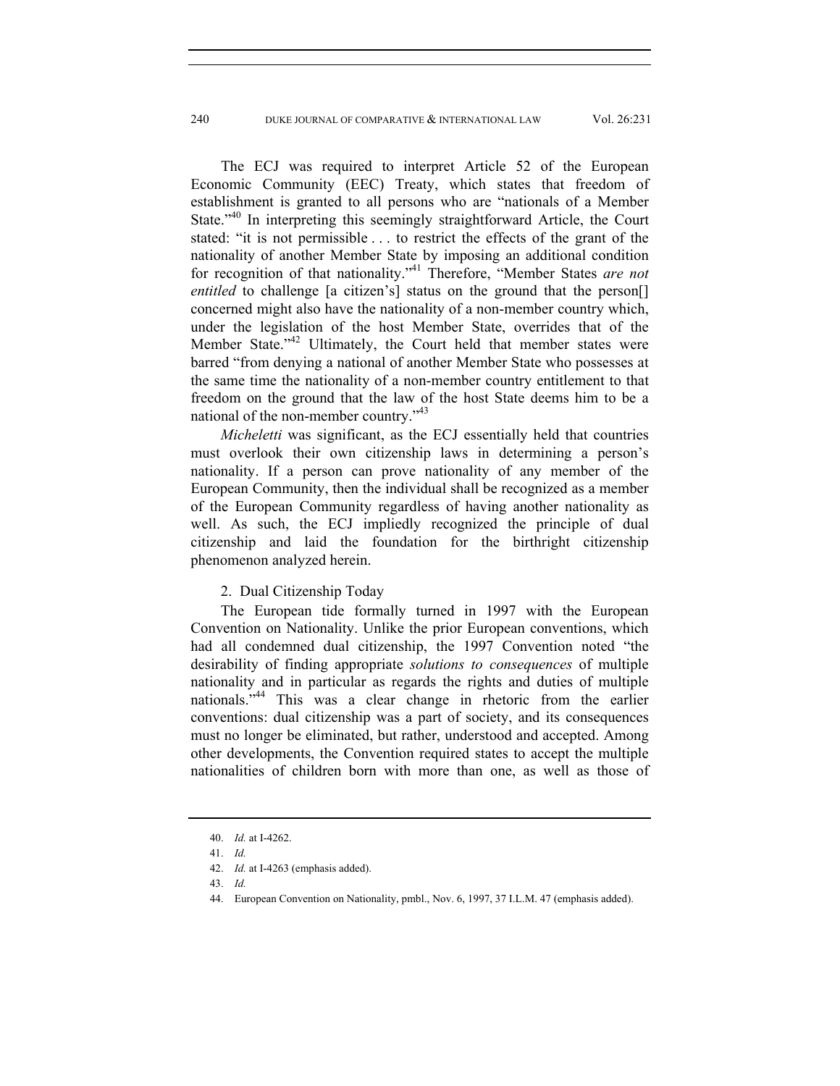The ECJ was required to interpret Article 52 of the European Economic Community (EEC) Treaty, which states that freedom of establishment is granted to all persons who are "nationals of a Member State.<sup>"40</sup> In interpreting this seemingly straightforward Article, the Court stated: "it is not permissible . . . to restrict the effects of the grant of the nationality of another Member State by imposing an additional condition for recognition of that nationality."41 Therefore, "Member States *are not entitled* to challenge [a citizen's] status on the ground that the person<sup>[]</sup> concerned might also have the nationality of a non-member country which, under the legislation of the host Member State, overrides that of the Member State."<sup>42</sup> Ultimately, the Court held that member states were barred "from denying a national of another Member State who possesses at the same time the nationality of a non-member country entitlement to that freedom on the ground that the law of the host State deems him to be a national of the non-member country."<sup>43</sup>

*Micheletti* was significant, as the ECJ essentially held that countries must overlook their own citizenship laws in determining a person's nationality. If a person can prove nationality of any member of the European Community, then the individual shall be recognized as a member of the European Community regardless of having another nationality as well. As such, the ECJ impliedly recognized the principle of dual citizenship and laid the foundation for the birthright citizenship phenomenon analyzed herein.

## 2. Dual Citizenship Today

The European tide formally turned in 1997 with the European Convention on Nationality. Unlike the prior European conventions, which had all condemned dual citizenship, the 1997 Convention noted "the desirability of finding appropriate *solutions to consequences* of multiple nationality and in particular as regards the rights and duties of multiple nationals."<sup>44</sup> This was a clear change in rhetoric from the earlier conventions: dual citizenship was a part of society, and its consequences must no longer be eliminated, but rather, understood and accepted. Among other developments, the Convention required states to accept the multiple nationalities of children born with more than one, as well as those of

 <sup>40.</sup> *Id.* at I-4262.

 <sup>41.</sup> *Id.* 

 <sup>42.</sup> *Id.* at I-4263 (emphasis added).

 <sup>43.</sup> *Id.*

 <sup>44.</sup> European Convention on Nationality, pmbl., Nov. 6, 1997, 37 I.L.M. 47 (emphasis added).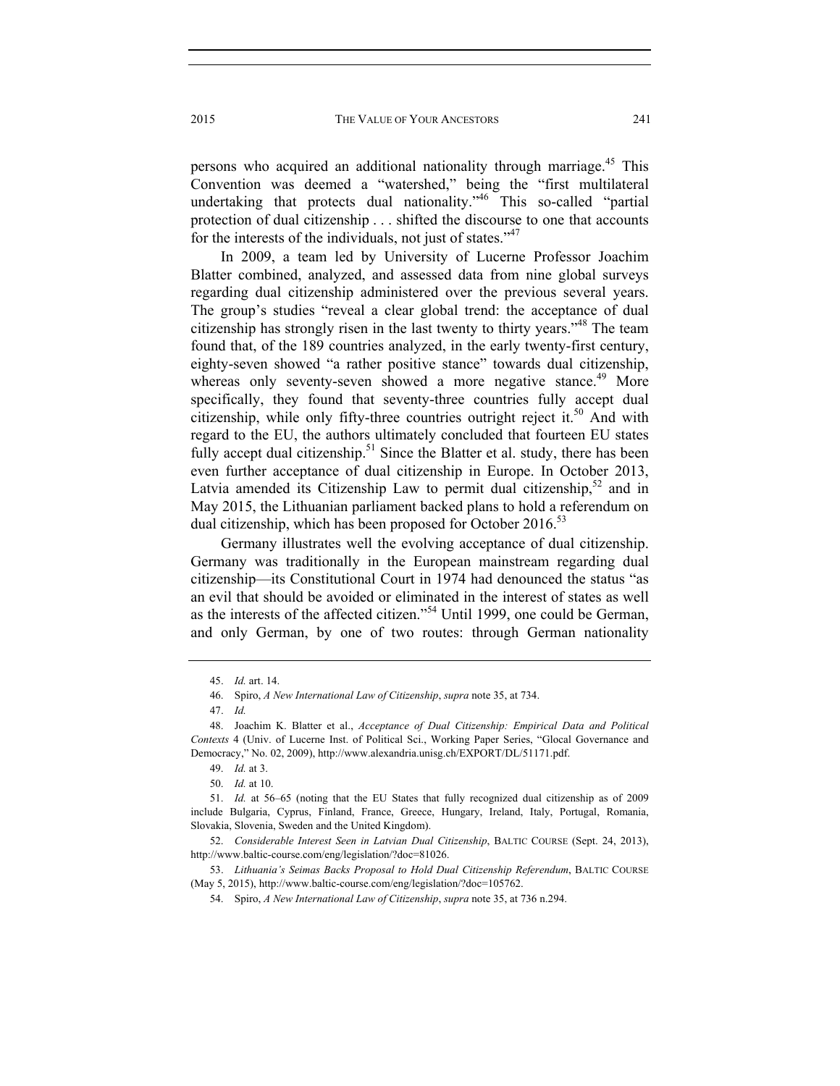persons who acquired an additional nationality through marriage.<sup>45</sup> This Convention was deemed a "watershed," being the "first multilateral undertaking that protects dual nationality."<sup>46</sup> This so-called "partial" protection of dual citizenship . . . shifted the discourse to one that accounts for the interests of the individuals, not just of states."<sup>47</sup>

In 2009, a team led by University of Lucerne Professor Joachim Blatter combined, analyzed, and assessed data from nine global surveys regarding dual citizenship administered over the previous several years. The group's studies "reveal a clear global trend: the acceptance of dual citizenship has strongly risen in the last twenty to thirty years."48 The team found that, of the 189 countries analyzed, in the early twenty-first century, eighty-seven showed "a rather positive stance" towards dual citizenship, whereas only seventy-seven showed a more negative stance.<sup>49</sup> More specifically, they found that seventy-three countries fully accept dual citizenship, while only fifty-three countries outright reject it.<sup>50</sup> And with regard to the EU, the authors ultimately concluded that fourteen EU states fully accept dual citizenship.<sup>51</sup> Since the Blatter et al. study, there has been even further acceptance of dual citizenship in Europe. In October 2013, Latvia amended its Citizenship Law to permit dual citizenship,  $52$  and in May 2015, the Lithuanian parliament backed plans to hold a referendum on dual citizenship, which has been proposed for October  $2016^{53}$ 

Germany illustrates well the evolving acceptance of dual citizenship. Germany was traditionally in the European mainstream regarding dual citizenship—its Constitutional Court in 1974 had denounced the status "as an evil that should be avoided or eliminated in the interest of states as well as the interests of the affected citizen."54 Until 1999, one could be German, and only German, by one of two routes: through German nationality

 <sup>45.</sup> *Id.* art. 14.

 <sup>46.</sup> Spiro, *A New International Law of Citizenship*, *supra* note 35, at 734.

 <sup>47.</sup> *Id.*

 <sup>48.</sup> Joachim K. Blatter et al., *Acceptance of Dual Citizenship: Empirical Data and Political Contexts* 4 (Univ. of Lucerne Inst. of Political Sci., Working Paper Series, "Glocal Governance and Democracy," No. 02, 2009), http://www.alexandria.unisg.ch/EXPORT/DL/51171.pdf.

 <sup>49.</sup> *Id.* at 3.

 <sup>50.</sup> *Id.* at 10.

 <sup>51.</sup> *Id.* at 56–65 (noting that the EU States that fully recognized dual citizenship as of 2009 include Bulgaria, Cyprus, Finland, France, Greece, Hungary, Ireland, Italy, Portugal, Romania, Slovakia, Slovenia, Sweden and the United Kingdom).

 <sup>52.</sup> *Considerable Interest Seen in Latvian Dual Citizenship*, BALTIC COURSE (Sept. 24, 2013), http://www.baltic-course.com/eng/legislation/?doc=81026.

 <sup>53.</sup> *Lithuania's Seimas Backs Proposal to Hold Dual Citizenship Referendum*, BALTIC COURSE (May 5, 2015), http://www.baltic-course.com/eng/legislation/?doc=105762.

 <sup>54.</sup> Spiro, *A New International Law of Citizenship*, *supra* note 35, at 736 n.294.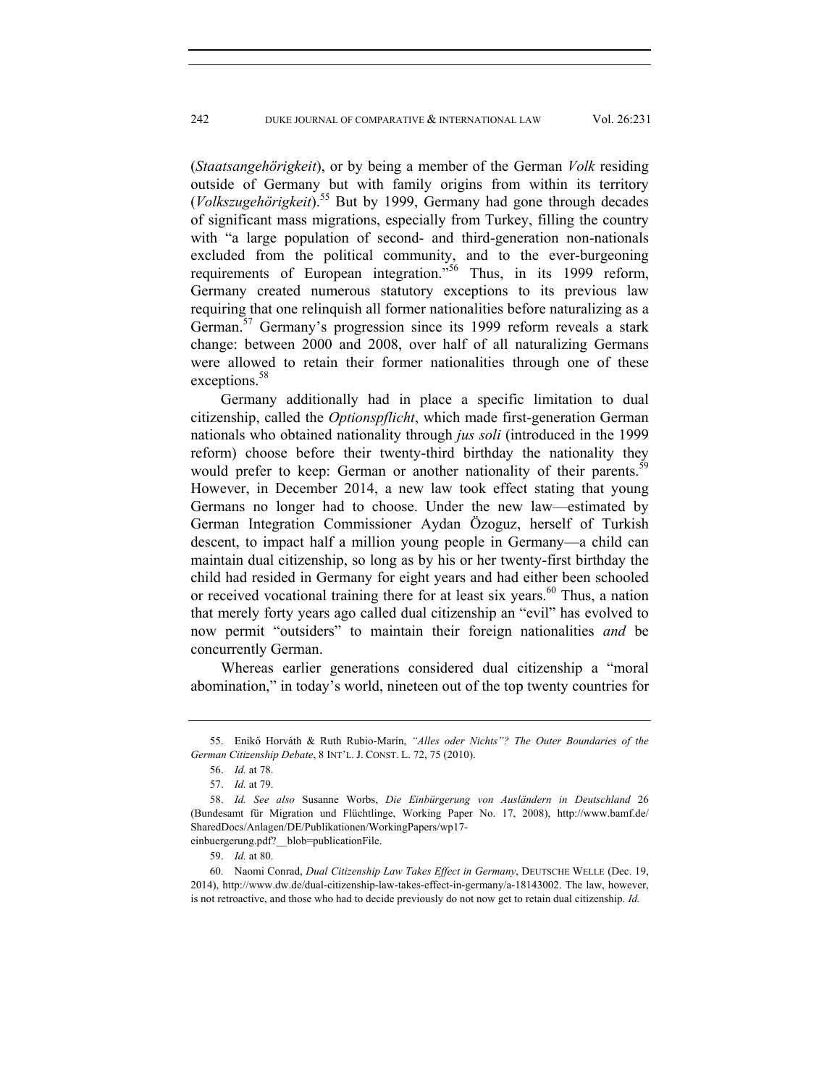(*Staatsangehörigkeit*), or by being a member of the German *Volk* residing outside of Germany but with family origins from within its territory (*Volkszugehörigkeit*).55 But by 1999, Germany had gone through decades of significant mass migrations, especially from Turkey, filling the country with "a large population of second- and third-generation non-nationals excluded from the political community, and to the ever-burgeoning requirements of European integration."<sup>56</sup> Thus, in its 1999 reform, Germany created numerous statutory exceptions to its previous law requiring that one relinquish all former nationalities before naturalizing as a German.<sup>57</sup> Germany's progression since its 1999 reform reveals a stark change: between 2000 and 2008, over half of all naturalizing Germans were allowed to retain their former nationalities through one of these exceptions.<sup>58</sup>

Germany additionally had in place a specific limitation to dual citizenship, called the *Optionspflicht*, which made first-generation German nationals who obtained nationality through *jus soli* (introduced in the 1999 reform) choose before their twenty-third birthday the nationality they would prefer to keep: German or another nationality of their parents.<sup>59</sup> However, in December 2014, a new law took effect stating that young Germans no longer had to choose. Under the new law—estimated by German Integration Commissioner Aydan Özoguz, herself of Turkish descent, to impact half a million young people in Germany—a child can maintain dual citizenship, so long as by his or her twenty-first birthday the child had resided in Germany for eight years and had either been schooled or received vocational training there for at least six years.<sup>60</sup> Thus, a nation that merely forty years ago called dual citizenship an "evil" has evolved to now permit "outsiders" to maintain their foreign nationalities *and* be concurrently German.

Whereas earlier generations considered dual citizenship a "moral abomination," in today's world, nineteen out of the top twenty countries for

59. *Id.* at 80.

 <sup>55.</sup> Enikő Horváth & Ruth Rubio-Marín, *"Alles oder Nichts"? The Outer Boundaries of the German Citizenship Debate*, 8 INT'L. J. CONST. L. 72, 75 (2010).

 <sup>56.</sup> *Id.* at 78.

 <sup>57.</sup> *Id.* at 79.

 <sup>58.</sup> *Id. See also* Susanne Worbs, *Die Einbürgerung von Ausländern in Deutschland* 26 (Bundesamt für Migration und Flüchtlinge, Working Paper No. 17, 2008), http://www.bamf.de/ SharedDocs/Anlagen/DE/Publikationen/WorkingPapers/wp17 einbuergerung.pdf? blob=publicationFile.

 <sup>60.</sup> Naomi Conrad, *Dual Citizenship Law Takes Effect in Germany*, DEUTSCHE WELLE (Dec. 19, 2014), http://www.dw.de/dual-citizenship-law-takes-effect-in-germany/a-18143002. The law, however, is not retroactive, and those who had to decide previously do not now get to retain dual citizenship. *Id.*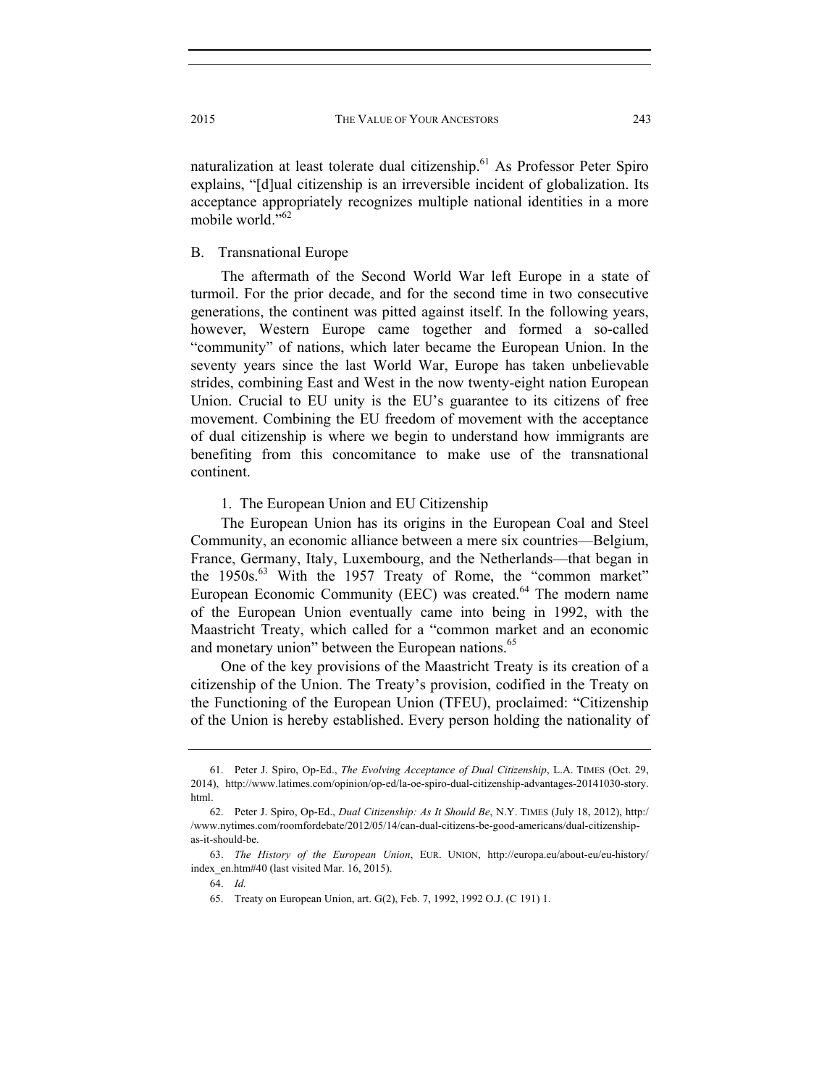naturalization at least tolerate dual citizenship.<sup>61</sup> As Professor Peter Spiro explains, "[d]ual citizenship is an irreversible incident of globalization. Its acceptance appropriately recognizes multiple national identities in a more mobile world."<sup>62</sup>

B. Transnational Europe

The aftermath of the Second World War left Europe in a state of turmoil. For the prior decade, and for the second time in two consecutive generations, the continent was pitted against itself. In the following years, however, Western Europe came together and formed a so-called "community" of nations, which later became the European Union. In the seventy years since the last World War, Europe has taken unbelievable strides, combining East and West in the now twenty-eight nation European Union. Crucial to EU unity is the EU's guarantee to its citizens of free movement. Combining the EU freedom of movement with the acceptance of dual citizenship is where we begin to understand how immigrants are benefiting from this concomitance to make use of the transnational continent.

#### 1. The European Union and EU Citizenship

The European Union has its origins in the European Coal and Steel Community, an economic alliance between a mere six countries—Belgium, France, Germany, Italy, Luxembourg, and the Netherlands—that began in the  $1950s$ .<sup>63</sup> With the 1957 Treaty of Rome, the "common market" European Economic Community (EEC) was created.<sup>64</sup> The modern name of the European Union eventually came into being in 1992, with the Maastricht Treaty, which called for a "common market and an economic and monetary union" between the European nations.<sup>65</sup>

One of the key provisions of the Maastricht Treaty is its creation of a citizenship of the Union. The Treaty's provision, codified in the Treaty on the Functioning of the European Union (TFEU), proclaimed: "Citizenship of the Union is hereby established. Every person holding the nationality of

 <sup>61.</sup> Peter J. Spiro, Op-Ed., *The Evolving Acceptance of Dual Citizenship*, L.A. TIMES (Oct. 29, 2014), http://www.latimes.com/opinion/op-ed/la-oe-spiro-dual-citizenship-advantages-20141030-story. html.

 <sup>62.</sup> Peter J. Spiro, Op-Ed., *Dual Citizenship: As It Should Be*, N.Y. TIMES (July 18, 2012), http:/ /www.nytimes.com/roomfordebate/2012/05/14/can-dual-citizens-be-good-americans/dual-citizenshipas-it-should-be.

 <sup>63.</sup> *The History of the European Union*, EUR. UNION, http://europa.eu/about-eu/eu-history/ index\_en.htm#40 (last visited Mar. 16, 2015).

 <sup>64.</sup> *Id.* 

 <sup>65.</sup> Treaty on European Union, art. G(2), Feb. 7, 1992, 1992 O.J. (C 191) 1.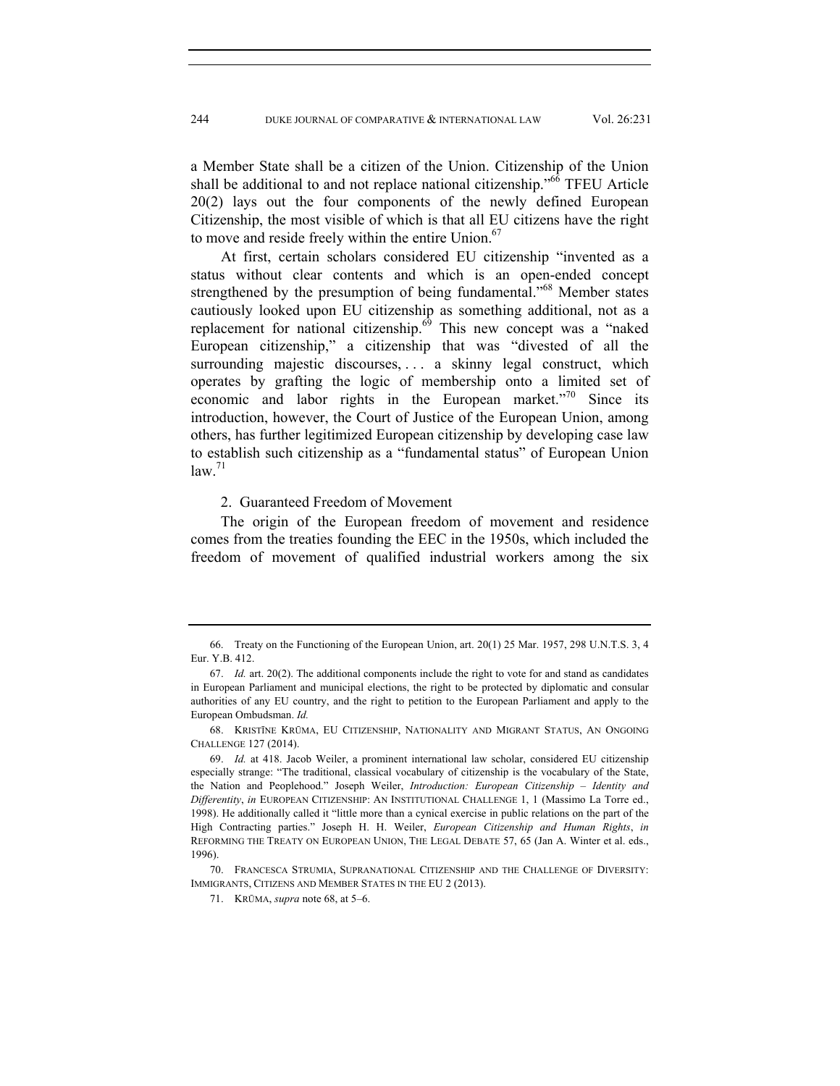a Member State shall be a citizen of the Union. Citizenship of the Union shall be additional to and not replace national citizenship."<sup>66</sup> TFEU Article 20(2) lays out the four components of the newly defined European Citizenship, the most visible of which is that all EU citizens have the right to move and reside freely within the entire Union.<sup>67</sup>

At first, certain scholars considered EU citizenship "invented as a status without clear contents and which is an open-ended concept strengthened by the presumption of being fundamental."<sup>68</sup> Member states cautiously looked upon EU citizenship as something additional, not as a replacement for national citizenship.<sup>69</sup> This new concept was a "naked European citizenship," a citizenship that was "divested of all the surrounding majestic discourses, . . . a skinny legal construct, which operates by grafting the logic of membership onto a limited set of economic and labor rights in the European market."<sup>70</sup> Since its introduction, however, the Court of Justice of the European Union, among others, has further legitimized European citizenship by developing case law to establish such citizenship as a "fundamental status" of European Union  $law.<sup>71</sup>$ 

#### 2. Guaranteed Freedom of Movement

The origin of the European freedom of movement and residence comes from the treaties founding the EEC in the 1950s, which included the freedom of movement of qualified industrial workers among the six

 70. FRANCESCA STRUMIA, SUPRANATIONAL CITIZENSHIP AND THE CHALLENGE OF DIVERSITY: IMMIGRANTS, CITIZENS AND MEMBER STATES IN THE EU 2 (2013).

71. KRŪMA, *supra* note 68, at 5–6.

 <sup>66.</sup> Treaty on the Functioning of the European Union, art. 20(1) 25 Mar. 1957, 298 U.N.T.S. 3, 4 Eur. Y.B. 412.

 <sup>67.</sup> *Id.* art. 20(2). The additional components include the right to vote for and stand as candidates in European Parliament and municipal elections, the right to be protected by diplomatic and consular authorities of any EU country, and the right to petition to the European Parliament and apply to the European Ombudsman. *Id.* 

 <sup>68.</sup> KRISTĪNE KRŪMA, EU CITIZENSHIP, NATIONALITY AND MIGRANT STATUS, AN ONGOING CHALLENGE 127 (2014).

 <sup>69.</sup> *Id.* at 418. Jacob Weiler, a prominent international law scholar, considered EU citizenship especially strange: "The traditional, classical vocabulary of citizenship is the vocabulary of the State, the Nation and Peoplehood." Joseph Weiler, *Introduction: European Citizenship – Identity and Differentity*, *in* EUROPEAN CITIZENSHIP: AN INSTITUTIONAL CHALLENGE 1, 1 (Massimo La Torre ed., 1998). He additionally called it "little more than a cynical exercise in public relations on the part of the High Contracting parties." Joseph H. H. Weiler, *European Citizenship and Human Rights*, *in* REFORMING THE TREATY ON EUROPEAN UNION, THE LEGAL DEBATE 57, 65 (Jan A. Winter et al. eds., 1996).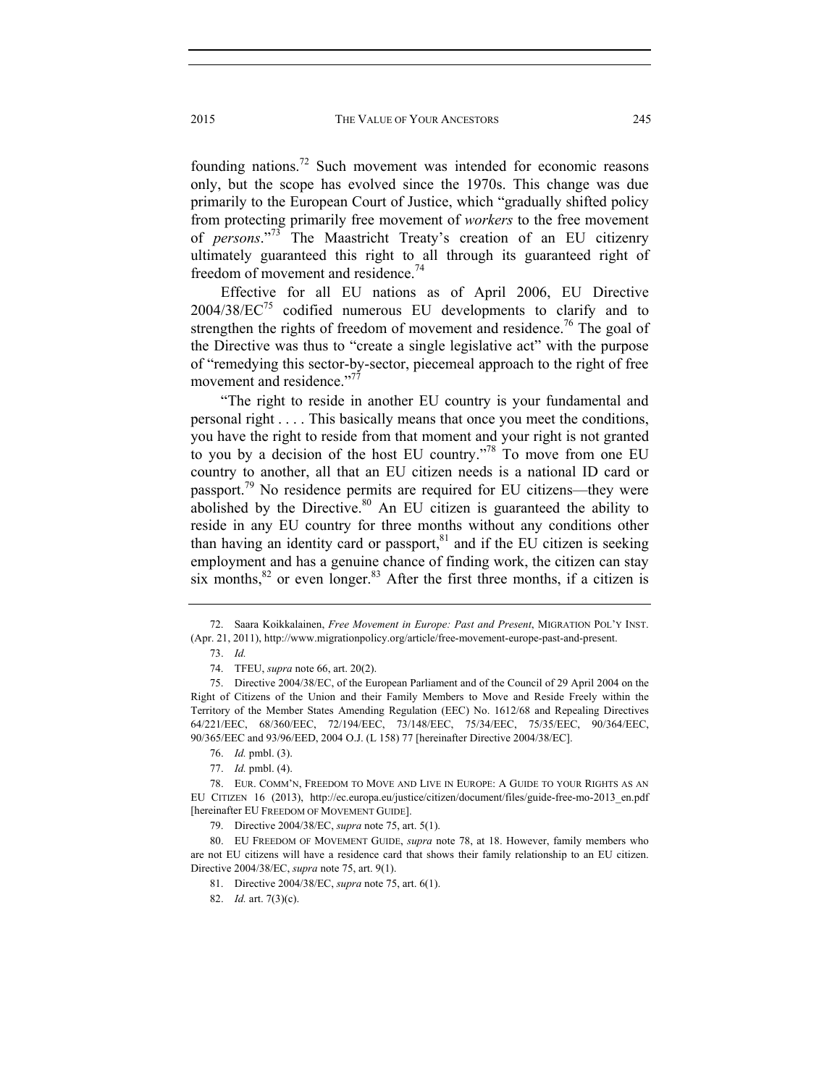founding nations.72 Such movement was intended for economic reasons only, but the scope has evolved since the 1970s. This change was due primarily to the European Court of Justice, which "gradually shifted policy from protecting primarily free movement of *workers* to the free movement of *persons*."73 The Maastricht Treaty's creation of an EU citizenry ultimately guaranteed this right to all through its guaranteed right of freedom of movement and residence.<sup>74</sup>

Effective for all EU nations as of April 2006, EU Directive  $2004/38/EC^{75}$  codified numerous EU developments to clarify and to strengthen the rights of freedom of movement and residence.<sup>76</sup> The goal of the Directive was thus to "create a single legislative act" with the purpose of "remedying this sector-by-sector, piecemeal approach to the right of free movement and residence."<sup>77</sup>

"The right to reside in another EU country is your fundamental and personal right . . . . This basically means that once you meet the conditions, you have the right to reside from that moment and your right is not granted to you by a decision of the host EU country."78 To move from one EU country to another, all that an EU citizen needs is a national ID card or passport.<sup>79</sup> No residence permits are required for EU citizens—they were abolished by the Directive. $80$  An EU citizen is guaranteed the ability to reside in any EU country for three months without any conditions other than having an identity card or passport, $81$  and if the EU citizen is seeking employment and has a genuine chance of finding work, the citizen can stay six months, $82$  or even longer. $83$  After the first three months, if a citizen is

 <sup>72.</sup> Saara Koikkalainen, *Free Movement in Europe: Past and Present*, MIGRATION POL'Y INST. (Apr. 21, 2011), http://www.migrationpolicy.org/article/free-movement-europe-past-and-present.

 <sup>73.</sup> *Id.* 

 <sup>74.</sup> TFEU, *supra* note 66, art. 20(2).

 <sup>75.</sup> Directive 2004/38/EC, of the European Parliament and of the Council of 29 April 2004 on the Right of Citizens of the Union and their Family Members to Move and Reside Freely within the Territory of the Member States Amending Regulation (EEC) No. 1612/68 and Repealing Directives 64/221/EEC, 68/360/EEC, 72/194/EEC, 73/148/EEC, 75/34/EEC, 75/35/EEC, 90/364/EEC, 90/365/EEC and 93/96/EED, 2004 O.J. (L 158) 77 [hereinafter Directive 2004/38/EC].

 <sup>76.</sup> *Id.* pmbl. (3).

 <sup>77.</sup> *Id.* pmbl. (4).

 <sup>78.</sup> EUR. COMM'N, FREEDOM TO MOVE AND LIVE IN EUROPE: A GUIDE TO YOUR RIGHTS AS AN EU CITIZEN 16 (2013), http://ec.europa.eu/justice/citizen/document/files/guide-free-mo-2013\_en.pdf [hereinafter EU FREEDOM OF MOVEMENT GUIDE].

 <sup>79.</sup> Directive 2004/38/EC, *supra* note 75, art. 5(1).

 <sup>80.</sup> EU FREEDOM OF MOVEMENT GUIDE, *supra* note 78, at 18. However, family members who are not EU citizens will have a residence card that shows their family relationship to an EU citizen. Directive 2004/38/EC, *supra* note 75, art. 9(1).

 <sup>81.</sup> Directive 2004/38/EC, *supra* note 75, art. 6(1).

 <sup>82.</sup> *Id.* art. 7(3)(c).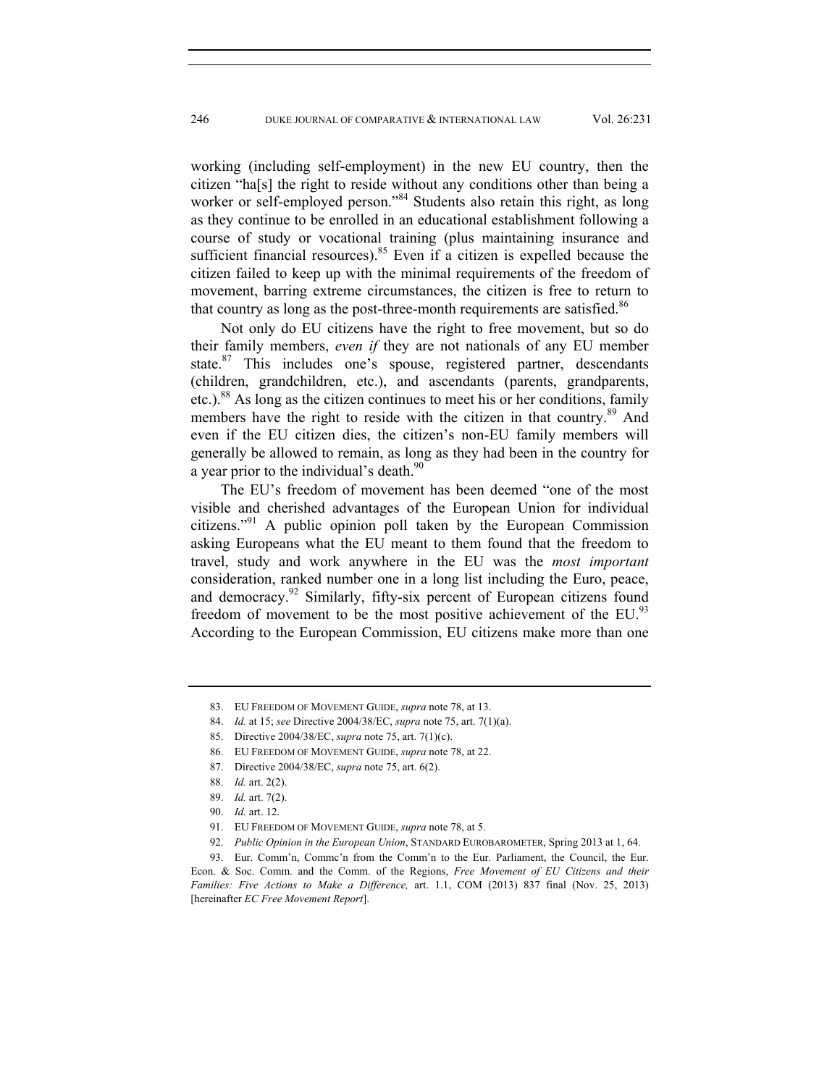working (including self-employment) in the new EU country, then the citizen "ha[s] the right to reside without any conditions other than being a worker or self-employed person."<sup>84</sup> Students also retain this right, as long as they continue to be enrolled in an educational establishment following a course of study or vocational training (plus maintaining insurance and sufficient financial resources). $85$  Even if a citizen is expelled because the citizen failed to keep up with the minimal requirements of the freedom of movement, barring extreme circumstances, the citizen is free to return to that country as long as the post-three-month requirements are satisfied.<sup>86</sup>

Not only do EU citizens have the right to free movement, but so do their family members, *even if* they are not nationals of any EU member state.<sup>87</sup> This includes one's spouse, registered partner, descendants (children, grandchildren, etc.), and ascendants (parents, grandparents, etc.).<sup>88</sup> As long as the citizen continues to meet his or her conditions, family members have the right to reside with the citizen in that country.<sup>89</sup> And even if the EU citizen dies, the citizen's non-EU family members will generally be allowed to remain, as long as they had been in the country for a year prior to the individual's death.<sup>90</sup>

The EU's freedom of movement has been deemed "one of the most visible and cherished advantages of the European Union for individual citizens."<sup>91</sup> A public opinion poll taken by the European Commission asking Europeans what the EU meant to them found that the freedom to travel, study and work anywhere in the EU was the *most important* consideration, ranked number one in a long list including the Euro, peace, and democracy.<sup>92</sup> Similarly, fifty-six percent of European citizens found freedom of movement to be the most positive achievement of the EU.<sup>93</sup> According to the European Commission, EU citizens make more than one

84. *Id.* at 15; *see* Directive 2004/38/EC, *supra* note 75, art. 7(1)(a).

- 86. EU FREEDOM OF MOVEMENT GUIDE, *supra* note 78, at 22.
- 87. Directive 2004/38/EC, *supra* note 75, art. 6(2).

92. *Public Opinion in the European Union*, STANDARD EUROBAROMETER, Spring 2013 at 1, 64.

 <sup>83.</sup> EU FREEDOM OF MOVEMENT GUIDE, *supra* note 78, at 13.

 <sup>85.</sup> Directive 2004/38/EC, *supra* note 75, art. 7(1)(c).

 <sup>88.</sup> *Id.* art. 2(2).

 <sup>89.</sup> *Id.* art. 7(2).

 <sup>90.</sup> *Id.* art. 12.

 <sup>91.</sup> EU FREEDOM OF MOVEMENT GUIDE, *supra* note 78, at 5.

 <sup>93.</sup> Eur. Comm'n, Commc'n from the Comm'n to the Eur. Parliament, the Council, the Eur. Econ. & Soc. Comm. and the Comm. of the Regions, *Free Movement of EU Citizens and their Families: Five Actions to Make a Difference,* art. 1.1, COM (2013) 837 final (Nov. 25, 2013) [hereinafter *EC Free Movement Report*].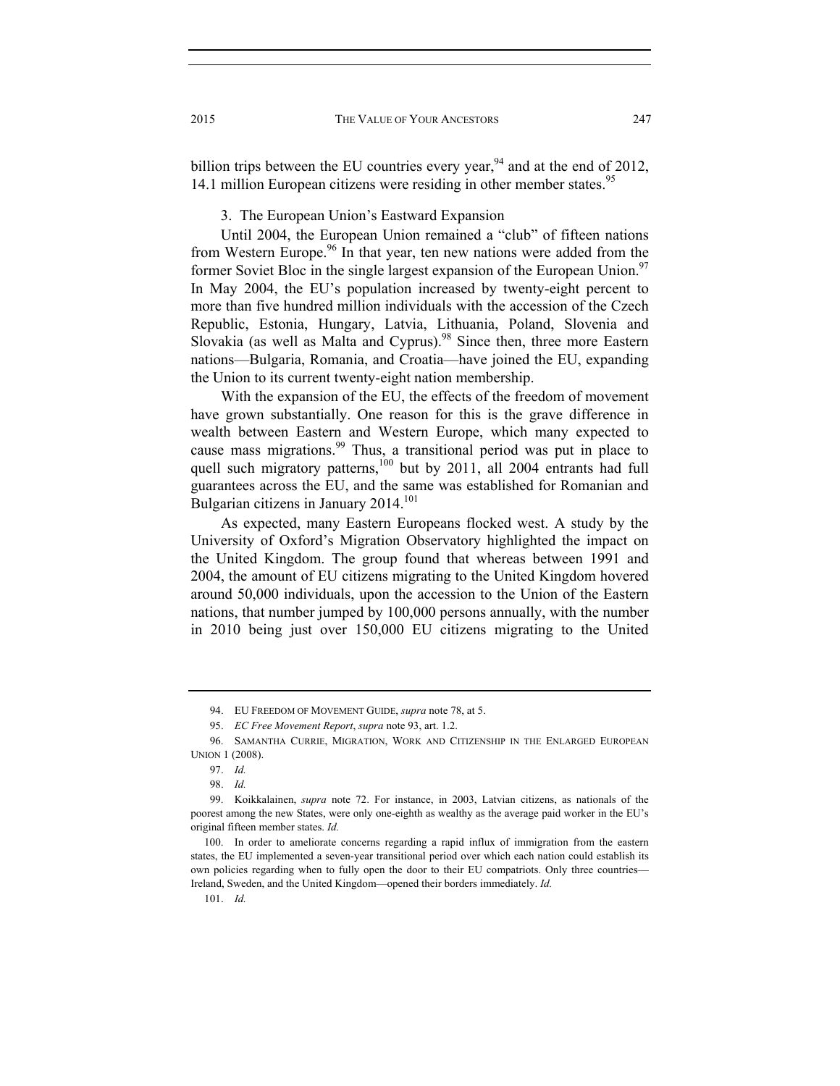billion trips between the EU countries every year,  $94$  and at the end of 2012, 14.1 million European citizens were residing in other member states.<sup>95</sup>

3. The European Union's Eastward Expansion

Until 2004, the European Union remained a "club" of fifteen nations from Western Europe.<sup>96</sup> In that year, ten new nations were added from the former Soviet Bloc in the single largest expansion of the European Union.<sup>97</sup> In May 2004, the EU's population increased by twenty-eight percent to more than five hundred million individuals with the accession of the Czech Republic, Estonia, Hungary, Latvia, Lithuania, Poland, Slovenia and Slovakia (as well as Malta and Cyprus).<sup>98</sup> Since then, three more Eastern nations—Bulgaria, Romania, and Croatia—have joined the EU, expanding the Union to its current twenty-eight nation membership.

With the expansion of the EU, the effects of the freedom of movement have grown substantially. One reason for this is the grave difference in wealth between Eastern and Western Europe, which many expected to cause mass migrations.<sup>99</sup> Thus, a transitional period was put in place to quell such migratory patterns,<sup>100</sup> but by 2011, all 2004 entrants had full guarantees across the EU, and the same was established for Romanian and Bulgarian citizens in January 2014.<sup>101</sup>

As expected, many Eastern Europeans flocked west. A study by the University of Oxford's Migration Observatory highlighted the impact on the United Kingdom. The group found that whereas between 1991 and 2004, the amount of EU citizens migrating to the United Kingdom hovered around 50,000 individuals, upon the accession to the Union of the Eastern nations, that number jumped by 100,000 persons annually, with the number in 2010 being just over 150,000 EU citizens migrating to the United

 <sup>94.</sup> EU FREEDOM OF MOVEMENT GUIDE, *supra* note 78, at 5.

 <sup>95.</sup> *EC Free Movement Report*, *supra* note 93, art. 1.2.

 <sup>96.</sup> SAMANTHA CURRIE, MIGRATION, WORK AND CITIZENSHIP IN THE ENLARGED EUROPEAN UNION 1 (2008).

 <sup>97.</sup> *Id.* 

 <sup>98.</sup> *Id.* 

 <sup>99.</sup> Koikkalainen, *supra* note 72. For instance, in 2003, Latvian citizens, as nationals of the poorest among the new States, were only one-eighth as wealthy as the average paid worker in the EU's original fifteen member states. *Id.* 

 <sup>100.</sup> In order to ameliorate concerns regarding a rapid influx of immigration from the eastern states, the EU implemented a seven-year transitional period over which each nation could establish its own policies regarding when to fully open the door to their EU compatriots. Only three countries— Ireland, Sweden, and the United Kingdom—opened their borders immediately. *Id.* 

 <sup>101.</sup> *Id.*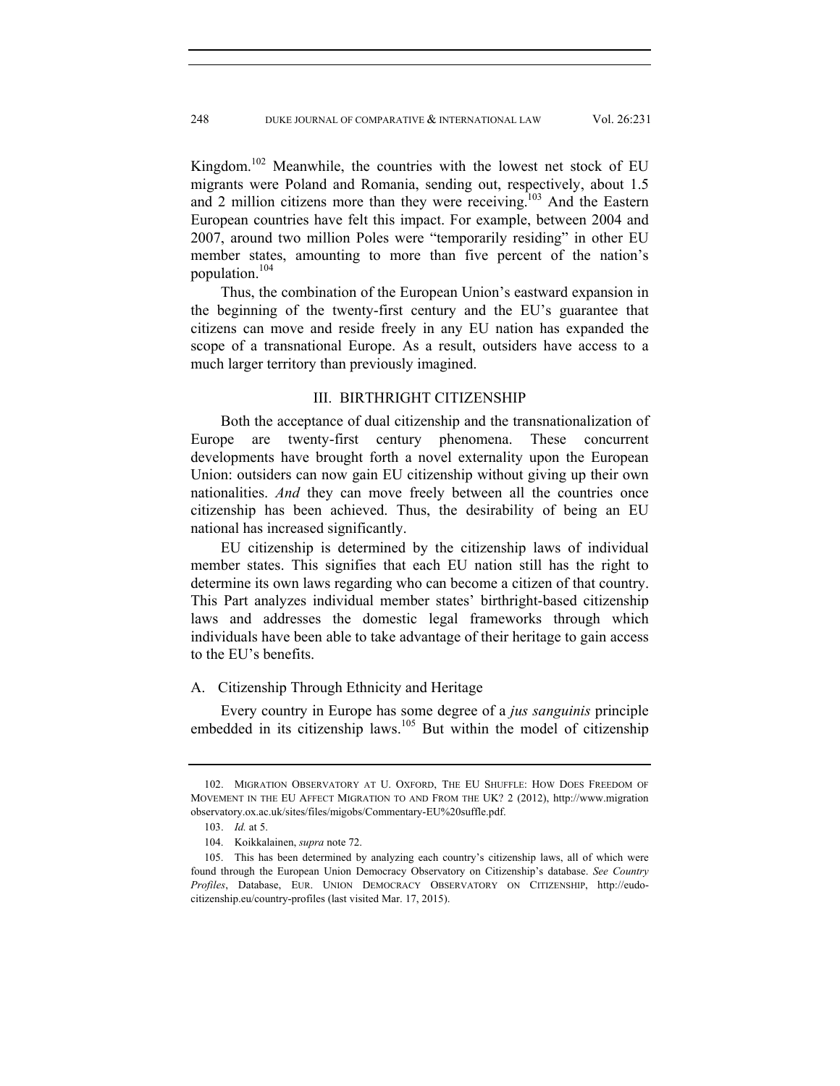Kingdom.102 Meanwhile, the countries with the lowest net stock of EU migrants were Poland and Romania, sending out, respectively, about 1.5 and 2 million citizens more than they were receiving.<sup>103</sup> And the Eastern European countries have felt this impact. For example, between 2004 and 2007, around two million Poles were "temporarily residing" in other EU member states, amounting to more than five percent of the nation's population.<sup>104</sup>

Thus, the combination of the European Union's eastward expansion in the beginning of the twenty-first century and the EU's guarantee that citizens can move and reside freely in any EU nation has expanded the scope of a transnational Europe. As a result, outsiders have access to a much larger territory than previously imagined.

## III. BIRTHRIGHT CITIZENSHIP

Both the acceptance of dual citizenship and the transnationalization of Europe are twenty-first century phenomena. These concurrent developments have brought forth a novel externality upon the European Union: outsiders can now gain EU citizenship without giving up their own nationalities. *And* they can move freely between all the countries once citizenship has been achieved. Thus, the desirability of being an EU national has increased significantly.

EU citizenship is determined by the citizenship laws of individual member states. This signifies that each EU nation still has the right to determine its own laws regarding who can become a citizen of that country. This Part analyzes individual member states' birthright-based citizenship laws and addresses the domestic legal frameworks through which individuals have been able to take advantage of their heritage to gain access to the EU's benefits.

#### A. Citizenship Through Ethnicity and Heritage

Every country in Europe has some degree of a *jus sanguinis* principle embedded in its citizenship laws.<sup>105</sup> But within the model of citizenship

 <sup>102.</sup> MIGRATION OBSERVATORY AT U. OXFORD, THE EU SHUFFLE: HOW DOES FREEDOM OF MOVEMENT IN THE EU AFFECT MIGRATION TO AND FROM THE UK? 2 (2012), http://www.migration observatory.ox.ac.uk/sites/files/migobs/Commentary-EU%20suffle.pdf.

 <sup>103.</sup> *Id.* at 5.

 <sup>104.</sup> Koikkalainen, *supra* note 72.

 <sup>105.</sup> This has been determined by analyzing each country's citizenship laws, all of which were found through the European Union Democracy Observatory on Citizenship's database. *See Country Profiles*, Database, EUR. UNION DEMOCRACY OBSERVATORY ON CITIZENSHIP, http://eudocitizenship.eu/country-profiles (last visited Mar. 17, 2015).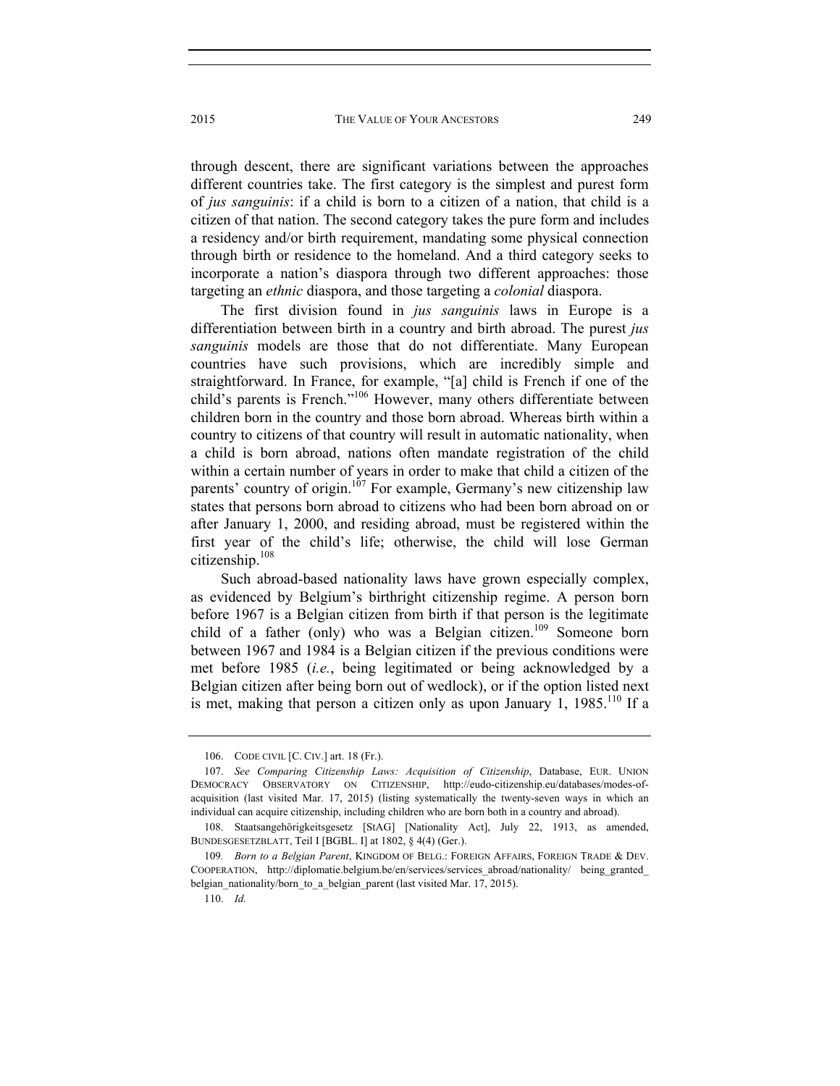through descent, there are significant variations between the approaches different countries take. The first category is the simplest and purest form of *jus sanguinis*: if a child is born to a citizen of a nation, that child is a citizen of that nation. The second category takes the pure form and includes a residency and/or birth requirement, mandating some physical connection through birth or residence to the homeland. And a third category seeks to incorporate a nation's diaspora through two different approaches: those targeting an *ethnic* diaspora, and those targeting a *colonial* diaspora.

The first division found in *jus sanguinis* laws in Europe is a differentiation between birth in a country and birth abroad. The purest *jus sanguinis* models are those that do not differentiate. Many European countries have such provisions, which are incredibly simple and straightforward. In France, for example, "[a] child is French if one of the child's parents is French."106 However, many others differentiate between children born in the country and those born abroad. Whereas birth within a country to citizens of that country will result in automatic nationality, when a child is born abroad, nations often mandate registration of the child within a certain number of years in order to make that child a citizen of the parents' country of origin.<sup>107</sup> For example, Germany's new citizenship law states that persons born abroad to citizens who had been born abroad on or after January 1, 2000, and residing abroad, must be registered within the first year of the child's life; otherwise, the child will lose German citizenship.<sup>108</sup>

Such abroad-based nationality laws have grown especially complex, as evidenced by Belgium's birthright citizenship regime. A person born before 1967 is a Belgian citizen from birth if that person is the legitimate child of a father (only) who was a Belgian citizen.<sup>109</sup> Someone born between 1967 and 1984 is a Belgian citizen if the previous conditions were met before 1985 (*i.e.*, being legitimated or being acknowledged by a Belgian citizen after being born out of wedlock), or if the option listed next is met, making that person a citizen only as upon January 1,  $1985$ .<sup>110</sup> If a

 <sup>106.</sup> CODE CIVIL [C. CIV.] art. 18 (Fr.).

 <sup>107.</sup> *See Comparing Citizenship Laws: Acquisition of Citizenship*, Database, EUR. UNION DEMOCRACY OBSERVATORY ON CITIZENSHIP, http://eudo-citizenship.eu/databases/modes-ofacquisition (last visited Mar. 17, 2015) (listing systematically the twenty-seven ways in which an individual can acquire citizenship, including children who are born both in a country and abroad).

 <sup>108.</sup> Staatsangehörigkeitsgesetz [StAG] [Nationality Act], July 22, 1913, as amended, BUNDESGESETZBLATT, Teil I [BGBL. I] at 1802, § 4(4) (Ger.).

<sup>109</sup>*. Born to a Belgian Parent*, KINGDOM OF BELG.: FOREIGN AFFAIRS, FOREIGN TRADE & DEV. COOPERATION, http://diplomatie.belgium.be/en/services/services\_abroad/nationality/ being\_granted belgian nationality/born to a belgian parent (last visited Mar. 17, 2015).

 <sup>110.</sup> *Id.*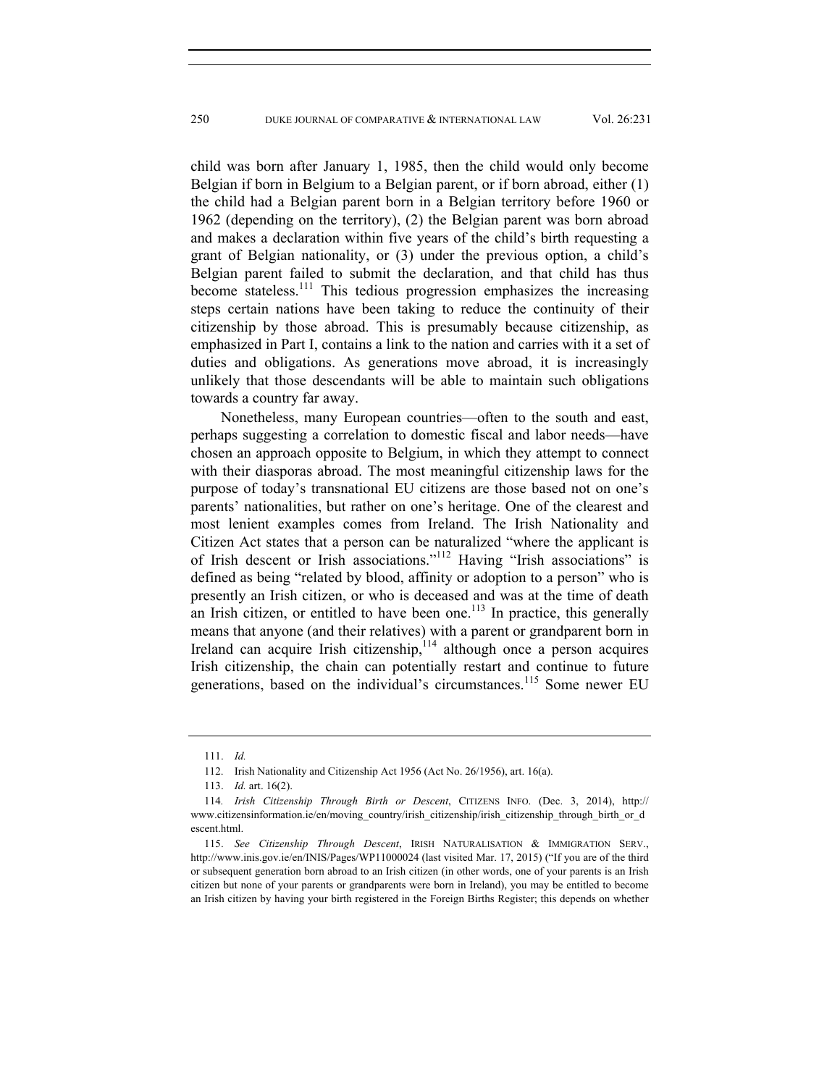child was born after January 1, 1985, then the child would only become Belgian if born in Belgium to a Belgian parent, or if born abroad, either (1) the child had a Belgian parent born in a Belgian territory before 1960 or 1962 (depending on the territory), (2) the Belgian parent was born abroad and makes a declaration within five years of the child's birth requesting a grant of Belgian nationality, or (3) under the previous option, a child's Belgian parent failed to submit the declaration, and that child has thus become stateless.<sup>111</sup> This tedious progression emphasizes the increasing steps certain nations have been taking to reduce the continuity of their citizenship by those abroad. This is presumably because citizenship, as emphasized in Part I, contains a link to the nation and carries with it a set of duties and obligations. As generations move abroad, it is increasingly unlikely that those descendants will be able to maintain such obligations towards a country far away.

Nonetheless, many European countries—often to the south and east, perhaps suggesting a correlation to domestic fiscal and labor needs—have chosen an approach opposite to Belgium, in which they attempt to connect with their diasporas abroad. The most meaningful citizenship laws for the purpose of today's transnational EU citizens are those based not on one's parents' nationalities, but rather on one's heritage. One of the clearest and most lenient examples comes from Ireland. The Irish Nationality and Citizen Act states that a person can be naturalized "where the applicant is of Irish descent or Irish associations."112 Having "Irish associations" is defined as being "related by blood, affinity or adoption to a person" who is presently an Irish citizen, or who is deceased and was at the time of death an Irish citizen, or entitled to have been one.<sup>113</sup> In practice, this generally means that anyone (and their relatives) with a parent or grandparent born in Ireland can acquire Irish citizenship, $114$  although once a person acquires Irish citizenship, the chain can potentially restart and continue to future generations, based on the individual's circumstances.<sup>115</sup> Some newer EU

 <sup>111.</sup> *Id.* 

 <sup>112.</sup> Irish Nationality and Citizenship Act 1956 (Act No. 26/1956), art. 16(a).

 <sup>113.</sup> *Id.* art. 16(2).

<sup>114</sup>*. Irish Citizenship Through Birth or Descent*, CITIZENS INFO. (Dec. 3, 2014), http:// www.citizensinformation.ie/en/moving\_country/irish\_citizenship/irish\_citizenship\_through\_birth\_or\_d escent.html.

 <sup>115.</sup> *See Citizenship Through Descent*, IRISH NATURALISATION & IMMIGRATION SERV., http://www.inis.gov.ie/en/INIS/Pages/WP11000024 (last visited Mar. 17, 2015) ("If you are of the third or subsequent generation born abroad to an Irish citizen (in other words, one of your parents is an Irish citizen but none of your parents or grandparents were born in Ireland), you may be entitled to become an Irish citizen by having your birth registered in the Foreign Births Register; this depends on whether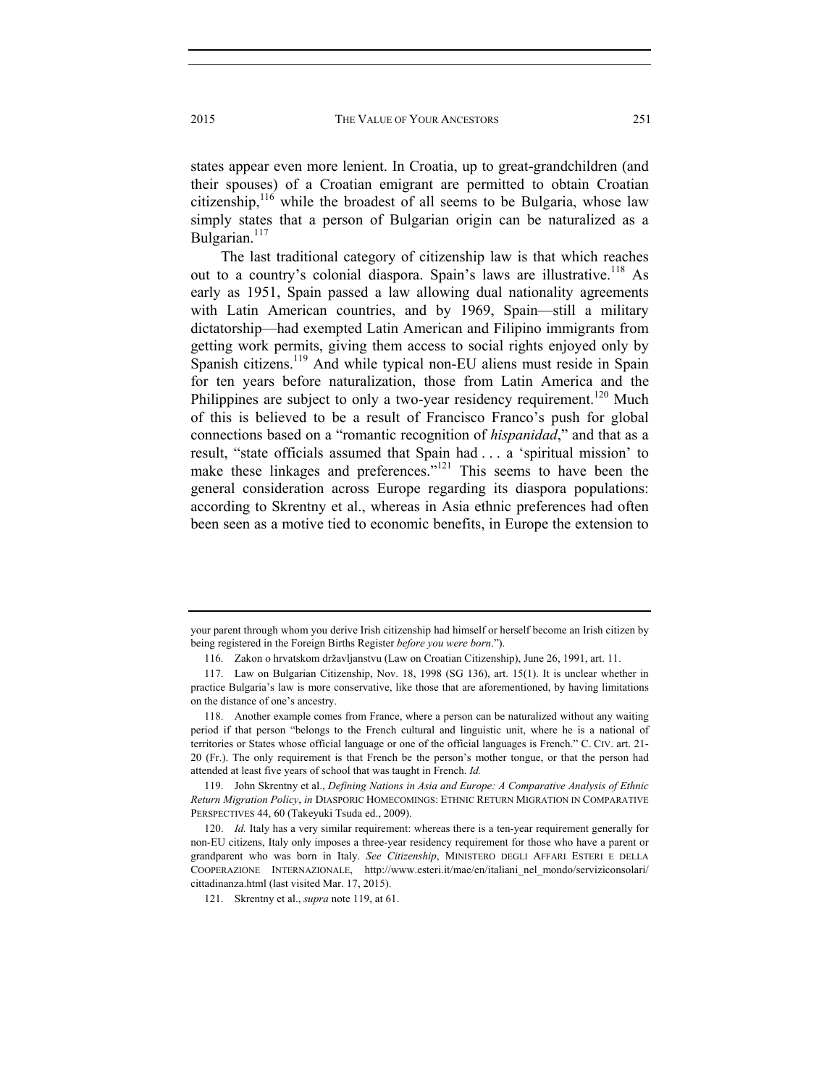states appear even more lenient. In Croatia, up to great-grandchildren (and their spouses) of a Croatian emigrant are permitted to obtain Croatian citizenship,<sup>116</sup> while the broadest of all seems to be Bulgaria, whose law simply states that a person of Bulgarian origin can be naturalized as a Bulgarian. $117$ 

The last traditional category of citizenship law is that which reaches out to a country's colonial diaspora. Spain's laws are illustrative.<sup>118</sup> As early as 1951, Spain passed a law allowing dual nationality agreements with Latin American countries, and by 1969, Spain—still a military dictatorship—had exempted Latin American and Filipino immigrants from getting work permits, giving them access to social rights enjoyed only by Spanish citizens.<sup>119</sup> And while typical non-EU aliens must reside in Spain for ten years before naturalization, those from Latin America and the Philippines are subject to only a two-year residency requirement.<sup>120</sup> Much of this is believed to be a result of Francisco Franco's push for global connections based on a "romantic recognition of *hispanidad*," and that as a result, "state officials assumed that Spain had . . . a 'spiritual mission' to make these linkages and preferences."<sup>121</sup> This seems to have been the general consideration across Europe regarding its diaspora populations: according to Skrentny et al., whereas in Asia ethnic preferences had often been seen as a motive tied to economic benefits, in Europe the extension to

your parent through whom you derive Irish citizenship had himself or herself become an Irish citizen by being registered in the Foreign Births Register *before you were born*.").

 <sup>116.</sup> Zakon o hrvatskom državljanstvu (Law on Croatian Citizenship), June 26, 1991, art. 11.

 <sup>117.</sup> Law on Bulgarian Citizenship, Nov. 18, 1998 (SG 136), art. 15(1). It is unclear whether in practice Bulgaria's law is more conservative, like those that are aforementioned, by having limitations on the distance of one's ancestry.

 <sup>118.</sup> Another example comes from France, where a person can be naturalized without any waiting period if that person "belongs to the French cultural and linguistic unit, where he is a national of territories or States whose official language or one of the official languages is French." C. CIV. art. 21- 20 (Fr.). The only requirement is that French be the person's mother tongue, or that the person had attended at least five years of school that was taught in French. *Id.* 

 <sup>119.</sup> John Skrentny et al., *Defining Nations in Asia and Europe: A Comparative Analysis of Ethnic Return Migration Policy*, *in* DIASPORIC HOMECOMINGS: ETHNIC RETURN MIGRATION IN COMPARATIVE PERSPECTIVES 44, 60 (Takeyuki Tsuda ed., 2009).

 <sup>120.</sup> *Id.* Italy has a very similar requirement: whereas there is a ten-year requirement generally for non-EU citizens, Italy only imposes a three-year residency requirement for those who have a parent or grandparent who was born in Italy. *See Citizenship*, MINISTERO DEGLI AFFARI ESTERI E DELLA COOPERAZIONE INTERNAZIONALE, http://www.esteri.it/mae/en/italiani\_nel\_mondo/serviziconsolari/ cittadinanza.html (last visited Mar. 17, 2015).

 <sup>121.</sup> Skrentny et al., *supra* note 119, at 61.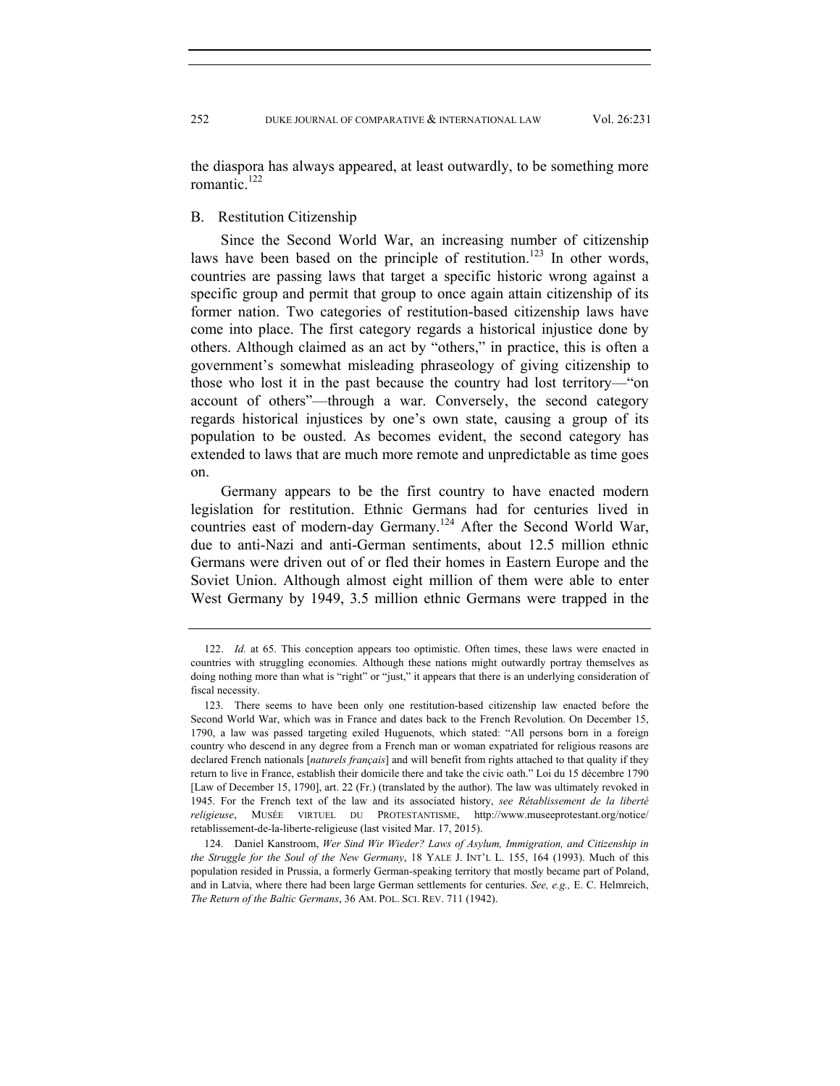the diaspora has always appeared, at least outwardly, to be something more romantic $122$ 

#### B. Restitution Citizenship

Since the Second World War, an increasing number of citizenship laws have been based on the principle of restitution.<sup>123</sup> In other words, countries are passing laws that target a specific historic wrong against a specific group and permit that group to once again attain citizenship of its former nation. Two categories of restitution-based citizenship laws have come into place. The first category regards a historical injustice done by others. Although claimed as an act by "others," in practice, this is often a government's somewhat misleading phraseology of giving citizenship to those who lost it in the past because the country had lost territory—"on account of others"—through a war. Conversely, the second category regards historical injustices by one's own state, causing a group of its population to be ousted. As becomes evident, the second category has extended to laws that are much more remote and unpredictable as time goes on.

Germany appears to be the first country to have enacted modern legislation for restitution. Ethnic Germans had for centuries lived in countries east of modern-day Germany.124 After the Second World War, due to anti-Nazi and anti-German sentiments, about 12.5 million ethnic Germans were driven out of or fled their homes in Eastern Europe and the Soviet Union. Although almost eight million of them were able to enter West Germany by 1949, 3.5 million ethnic Germans were trapped in the

 <sup>122.</sup> *Id.* at 65. This conception appears too optimistic. Often times, these laws were enacted in countries with struggling economies. Although these nations might outwardly portray themselves as doing nothing more than what is "right" or "just," it appears that there is an underlying consideration of fiscal necessity.

 <sup>123.</sup> There seems to have been only one restitution-based citizenship law enacted before the Second World War, which was in France and dates back to the French Revolution. On December 15, 1790, a law was passed targeting exiled Huguenots, which stated: "All persons born in a foreign country who descend in any degree from a French man or woman expatriated for religious reasons are declared French nationals [*naturels français*] and will benefit from rights attached to that quality if they return to live in France, establish their domicile there and take the civic oath." Loi du 15 décembre 1790 [Law of December 15, 1790], art. 22 (Fr.) (translated by the author). The law was ultimately revoked in 1945. For the French text of the law and its associated history, *see Rétablissement de la liberté religieuse*, MUSÉE VIRTUEL DU PROTESTANTISME, http://www.museeprotestant.org/notice/ retablissement-de-la-liberte-religieuse (last visited Mar. 17, 2015).

 <sup>124.</sup> Daniel Kanstroom, *Wer Sind Wir Wieder? Laws of Asylum, Immigration, and Citizenship in the Struggle for the Soul of the New Germany*, 18 YALE J. INT'L L. 155, 164 (1993). Much of this population resided in Prussia, a formerly German-speaking territory that mostly became part of Poland, and in Latvia, where there had been large German settlements for centuries. *See, e.g.,* E. C. Helmreich, *The Return of the Baltic Germans*, 36 AM. POL. SCI. REV. 711 (1942).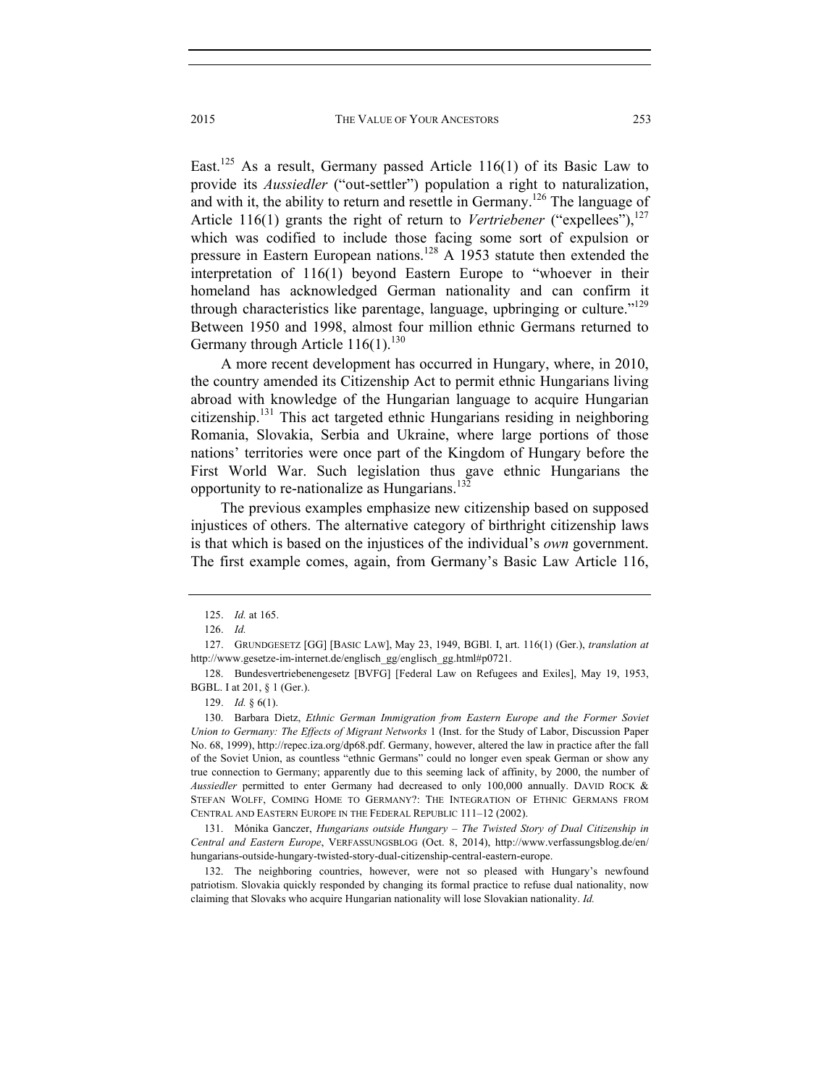East.<sup>125</sup> As a result, Germany passed Article 116(1) of its Basic Law to provide its *Aussiedler* ("out-settler") population a right to naturalization, and with it, the ability to return and resettle in Germany.<sup>126</sup> The language of Article 116(1) grants the right of return to *Vertriebener* ("expellees"),  $127$ which was codified to include those facing some sort of expulsion or pressure in Eastern European nations.<sup>128</sup> A 1953 statute then extended the interpretation of 116(1) beyond Eastern Europe to "whoever in their homeland has acknowledged German nationality and can confirm it through characteristics like parentage, language, upbringing or culture.<sup> $129$ </sup> Between 1950 and 1998, almost four million ethnic Germans returned to Germany through Article  $116(1)$ .<sup>130</sup>

A more recent development has occurred in Hungary, where, in 2010, the country amended its Citizenship Act to permit ethnic Hungarians living abroad with knowledge of the Hungarian language to acquire Hungarian citizenship.131 This act targeted ethnic Hungarians residing in neighboring Romania, Slovakia, Serbia and Ukraine, where large portions of those nations' territories were once part of the Kingdom of Hungary before the First World War. Such legislation thus gave ethnic Hungarians the opportunity to re-nationalize as Hungarians.<sup>132</sup>

The previous examples emphasize new citizenship based on supposed injustices of others. The alternative category of birthright citizenship laws is that which is based on the injustices of the individual's *own* government. The first example comes, again, from Germany's Basic Law Article 116,

 131. Mónika Ganczer, *Hungarians outside Hungary – The Twisted Story of Dual Citizenship in Central and Eastern Europe*, VERFASSUNGSBLOG (Oct. 8, 2014), http://www.verfassungsblog.de/en/ hungarians-outside-hungary-twisted-story-dual-citizenship-central-eastern-europe.

 132. The neighboring countries, however, were not so pleased with Hungary's newfound patriotism. Slovakia quickly responded by changing its formal practice to refuse dual nationality, now claiming that Slovaks who acquire Hungarian nationality will lose Slovakian nationality. *Id.* 

 <sup>125.</sup> *Id.* at 165.

 <sup>126.</sup> *Id.* 

 <sup>127.</sup> GRUNDGESETZ [GG] [BASIC LAW], May 23, 1949, BGBl. I, art. 116(1) (Ger.), *translation at*  http://www.gesetze-im-internet.de/englisch\_gg/englisch\_gg.html#p0721.

 <sup>128.</sup> Bundesvertriebenengesetz [BVFG] [Federal Law on Refugees and Exiles], May 19, 1953, BGBL. I at 201, § 1 (Ger.).

 <sup>129.</sup> *Id.* § 6(1).

 <sup>130.</sup> Barbara Dietz, *Ethnic German Immigration from Eastern Europe and the Former Soviet Union to Germany: The Effects of Migrant Networks* 1 (Inst. for the Study of Labor, Discussion Paper No. 68, 1999), http://repec.iza.org/dp68.pdf. Germany, however, altered the law in practice after the fall of the Soviet Union, as countless "ethnic Germans" could no longer even speak German or show any true connection to Germany; apparently due to this seeming lack of affinity, by 2000, the number of *Aussiedler* permitted to enter Germany had decreased to only 100,000 annually. DAVID ROCK & STEFAN WOLFF, COMING HOME TO GERMANY?: THE INTEGRATION OF ETHNIC GERMANS FROM CENTRAL AND EASTERN EUROPE IN THE FEDERAL REPUBLIC 111–12 (2002).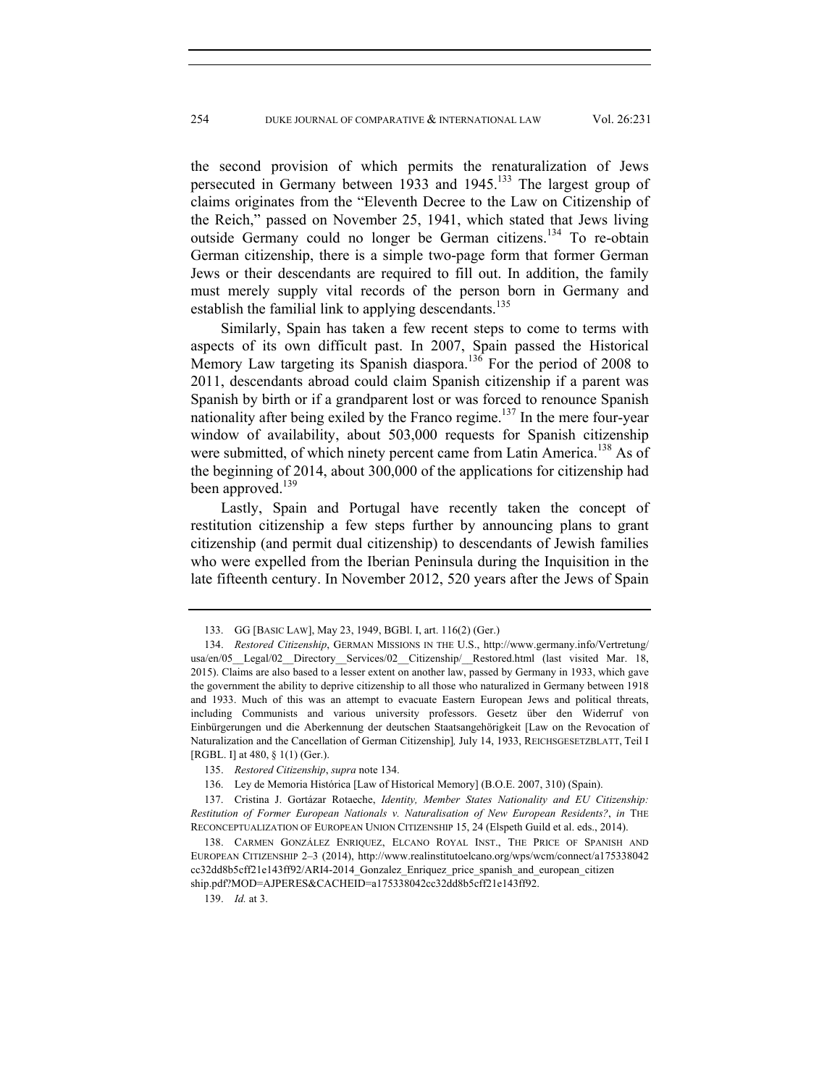the second provision of which permits the renaturalization of Jews persecuted in Germany between 1933 and 1945.<sup>133</sup> The largest group of claims originates from the "Eleventh Decree to the Law on Citizenship of the Reich," passed on November 25, 1941, which stated that Jews living outside Germany could no longer be German citizens.134 To re-obtain German citizenship, there is a simple two-page form that former German Jews or their descendants are required to fill out. In addition, the family must merely supply vital records of the person born in Germany and establish the familial link to applying descendants.<sup>135</sup>

Similarly, Spain has taken a few recent steps to come to terms with aspects of its own difficult past. In 2007, Spain passed the Historical Memory Law targeting its Spanish diaspora.<sup>136</sup> For the period of 2008 to 2011, descendants abroad could claim Spanish citizenship if a parent was Spanish by birth or if a grandparent lost or was forced to renounce Spanish nationality after being exiled by the Franco regime.<sup>137</sup> In the mere four-year window of availability, about 503,000 requests for Spanish citizenship were submitted, of which ninety percent came from Latin America.<sup>138</sup> As of the beginning of 2014, about 300,000 of the applications for citizenship had been approved.<sup>139</sup>

Lastly, Spain and Portugal have recently taken the concept of restitution citizenship a few steps further by announcing plans to grant citizenship (and permit dual citizenship) to descendants of Jewish families who were expelled from the Iberian Peninsula during the Inquisition in the late fifteenth century. In November 2012, 520 years after the Jews of Spain

 <sup>133.</sup> GG [BASIC LAW], May 23, 1949, BGBl. I, art. 116(2) (Ger.)

 <sup>134.</sup> *Restored Citizenship*, GERMAN MISSIONS IN THE U.S., http://www.germany.info/Vertretung/ usa/en/05 Legal/02 Directory Services/02 Citizenship/ Restored.html (last visited Mar. 18, 2015). Claims are also based to a lesser extent on another law, passed by Germany in 1933, which gave the government the ability to deprive citizenship to all those who naturalized in Germany between 1918 and 1933. Much of this was an attempt to evacuate Eastern European Jews and political threats, including Communists and various university professors. Gesetz über den Widerruf von Einbürgerungen und die Aberkennung der deutschen Staatsangehörigkeit [Law on the Revocation of Naturalization and the Cancellation of German Citizenship]*,* July 14, 1933, REICHSGESETZBLATT, Teil I [RGBL. I] at 480, § 1(1) (Ger.).

 <sup>135.</sup> *Restored Citizenship*, *supra* note 134.

 <sup>136.</sup> Ley de Memoria Histórica [Law of Historical Memory] (B.O.E. 2007, 310) (Spain).

 <sup>137.</sup> Cristina J. Gortázar Rotaeche, *Identity, Member States Nationality and EU Citizenship: Restitution of Former European Nationals v. Naturalisation of New European Residents?*, *in* THE RECONCEPTUALIZATION OF EUROPEAN UNION CITIZENSHIP 15, 24 (Elspeth Guild et al. eds., 2014).

 <sup>138.</sup> CARMEN GONZÁLEZ ENRIQUEZ, ELCANO ROYAL INST., THE PRICE OF SPANISH AND EUROPEAN CITIZENSHIP 2–3 (2014), http://www.realinstitutoelcano.org/wps/wcm/connect/a175338042 cc32dd8b5cff21e143ff92/ARI4-2014\_Gonzalez\_Enriquez\_price\_spanish\_and\_european\_citizen ship.pdf?MOD=AJPERES&CACHEID=a175338042cc32dd8b5cff21e143ff92.

 <sup>139.</sup> *Id.* at 3.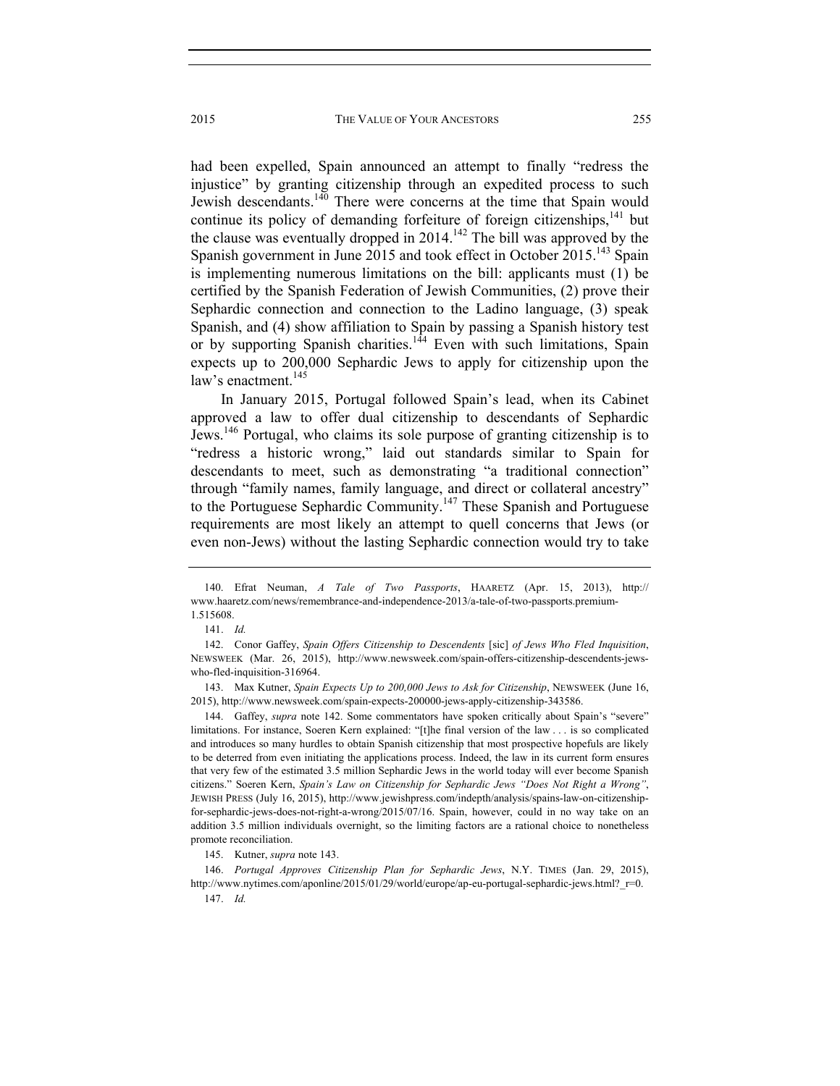had been expelled, Spain announced an attempt to finally "redress the injustice" by granting citizenship through an expedited process to such Jewish descendants.<sup>140</sup> There were concerns at the time that Spain would continue its policy of demanding forfeiture of foreign citizenships, $141$  but the clause was eventually dropped in  $2014$ .<sup>142</sup> The bill was approved by the Spanish government in June 2015 and took effect in October 2015.<sup>143</sup> Spain is implementing numerous limitations on the bill: applicants must (1) be certified by the Spanish Federation of Jewish Communities, (2) prove their Sephardic connection and connection to the Ladino language, (3) speak Spanish, and (4) show affiliation to Spain by passing a Spanish history test or by supporting Spanish charities.<sup>144</sup> Even with such limitations, Spain expects up to 200,000 Sephardic Jews to apply for citizenship upon the law's enactment.<sup>145</sup>

In January 2015, Portugal followed Spain's lead, when its Cabinet approved a law to offer dual citizenship to descendants of Sephardic Jews.146 Portugal, who claims its sole purpose of granting citizenship is to "redress a historic wrong," laid out standards similar to Spain for descendants to meet, such as demonstrating "a traditional connection" through "family names, family language, and direct or collateral ancestry" to the Portuguese Sephardic Community.147 These Spanish and Portuguese requirements are most likely an attempt to quell concerns that Jews (or even non-Jews) without the lasting Sephardic connection would try to take

 143. Max Kutner, *Spain Expects Up to 200,000 Jews to Ask for Citizenship*, NEWSWEEK (June 16, 2015), http://www.newsweek.com/spain-expects-200000-jews-apply-citizenship-343586.

 144. Gaffey, *supra* note 142. Some commentators have spoken critically about Spain's "severe" limitations. For instance, Soeren Kern explained: "[t]he final version of the law . . . is so complicated and introduces so many hurdles to obtain Spanish citizenship that most prospective hopefuls are likely to be deterred from even initiating the applications process. Indeed, the law in its current form ensures that very few of the estimated 3.5 million Sephardic Jews in the world today will ever become Spanish citizens." Soeren Kern, *Spain's Law on Citizenship for Sephardic Jews "Does Not Right a Wrong"*, JEWISH PRESS (July 16, 2015), http://www.jewishpress.com/indepth/analysis/spains-law-on-citizenshipfor-sephardic-jews-does-not-right-a-wrong/2015/07/16. Spain, however, could in no way take on an addition 3.5 million individuals overnight, so the limiting factors are a rational choice to nonetheless promote reconciliation.

145. Kutner, *supra* note 143.

 146. *Portugal Approves Citizenship Plan for Sephardic Jews*, N.Y. TIMES (Jan. 29, 2015), http://www.nytimes.com/aponline/2015/01/29/world/europe/ap-eu-portugal-sephardic-jews.html? r=0. 147. *Id.* 

 <sup>140.</sup> Efrat Neuman, *A Tale of Two Passports*, HAARETZ (Apr. 15, 2013), http:// www.haaretz.com/news/remembrance-and-independence-2013/a-tale-of-two-passports.premium-1.515608.

 <sup>141.</sup> *Id.* 

 <sup>142.</sup> Conor Gaffey, *Spain Offers Citizenship to Descendents* [sic] *of Jews Who Fled Inquisition*, NEWSWEEK (Mar. 26, 2015), http://www.newsweek.com/spain-offers-citizenship-descendents-jewswho-fled-inquisition-316964.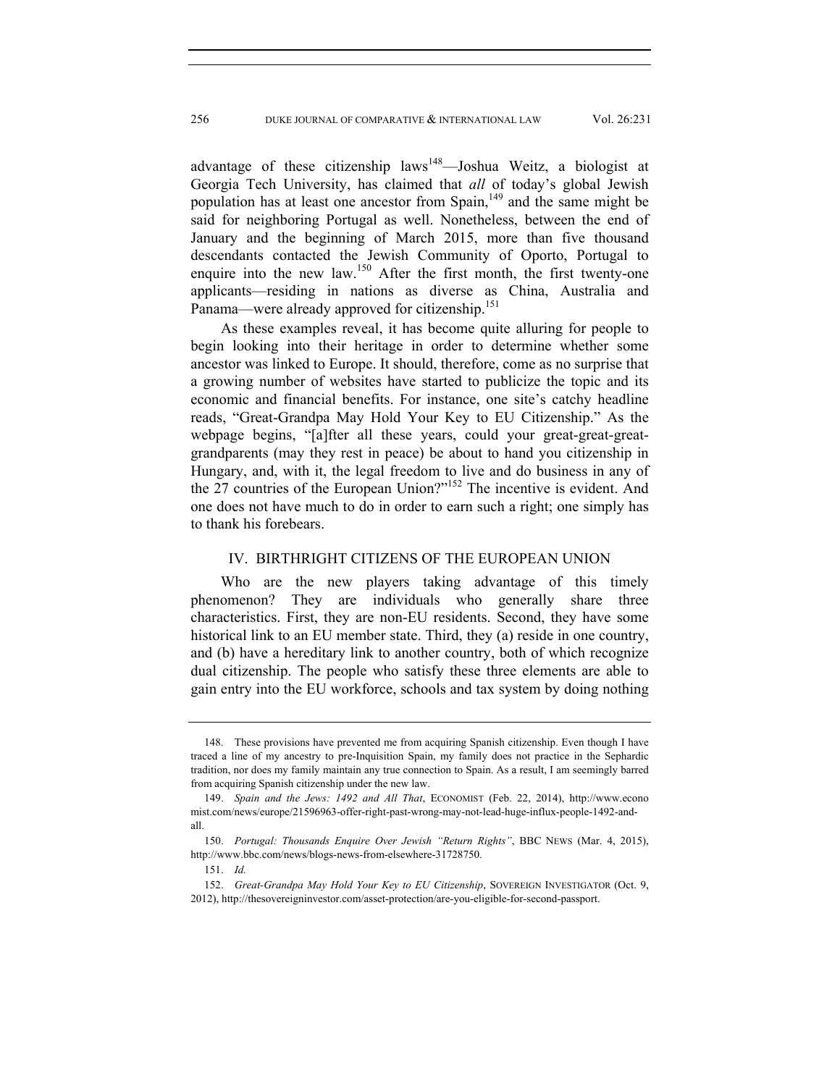advantage of these citizenship  $laws^{148}$ —Joshua Weitz, a biologist at Georgia Tech University, has claimed that *all* of today's global Jewish population has at least one ancestor from  $\text{Span}_{1}^{149}$  and the same might be said for neighboring Portugal as well. Nonetheless, between the end of January and the beginning of March 2015, more than five thousand descendants contacted the Jewish Community of Oporto, Portugal to enquire into the new law.<sup>150</sup> After the first month, the first twenty-one applicants—residing in nations as diverse as China, Australia and Panama—were already approved for citizenship.<sup>151</sup>

As these examples reveal, it has become quite alluring for people to begin looking into their heritage in order to determine whether some ancestor was linked to Europe. It should, therefore, come as no surprise that a growing number of websites have started to publicize the topic and its economic and financial benefits. For instance, one site's catchy headline reads, "Great-Grandpa May Hold Your Key to EU Citizenship." As the webpage begins, "[a]fter all these years, could your great-great-greatgrandparents (may they rest in peace) be about to hand you citizenship in Hungary, and, with it, the legal freedom to live and do business in any of the 27 countries of the European Union?"152 The incentive is evident. And one does not have much to do in order to earn such a right; one simply has to thank his forebears.

## IV. BIRTHRIGHT CITIZENS OF THE EUROPEAN UNION

Who are the new players taking advantage of this timely phenomenon? They are individuals who generally share three characteristics. First, they are non-EU residents. Second, they have some historical link to an EU member state. Third, they (a) reside in one country, and (b) have a hereditary link to another country, both of which recognize dual citizenship. The people who satisfy these three elements are able to gain entry into the EU workforce, schools and tax system by doing nothing

 <sup>148.</sup> These provisions have prevented me from acquiring Spanish citizenship. Even though I have traced a line of my ancestry to pre-Inquisition Spain, my family does not practice in the Sephardic tradition, nor does my family maintain any true connection to Spain. As a result, I am seemingly barred from acquiring Spanish citizenship under the new law.

 <sup>149.</sup> *Spain and the Jews: 1492 and All That*, ECONOMIST (Feb. 22, 2014), http://www.econo mist.com/news/europe/21596963-offer-right-past-wrong-may-not-lead-huge-influx-people-1492-andall.

 <sup>150.</sup> *Portugal: Thousands Enquire Over Jewish "Return Rights"*, BBC NEWS (Mar. 4, 2015), http://www.bbc.com/news/blogs-news-from-elsewhere-31728750.

 <sup>151.</sup> *Id.* 

 <sup>152.</sup> *Great-Grandpa May Hold Your Key to EU Citizenship*, SOVEREIGN INVESTIGATOR (Oct. 9, 2012), http://thesovereigninvestor.com/asset-protection/are-you-eligible-for-second-passport.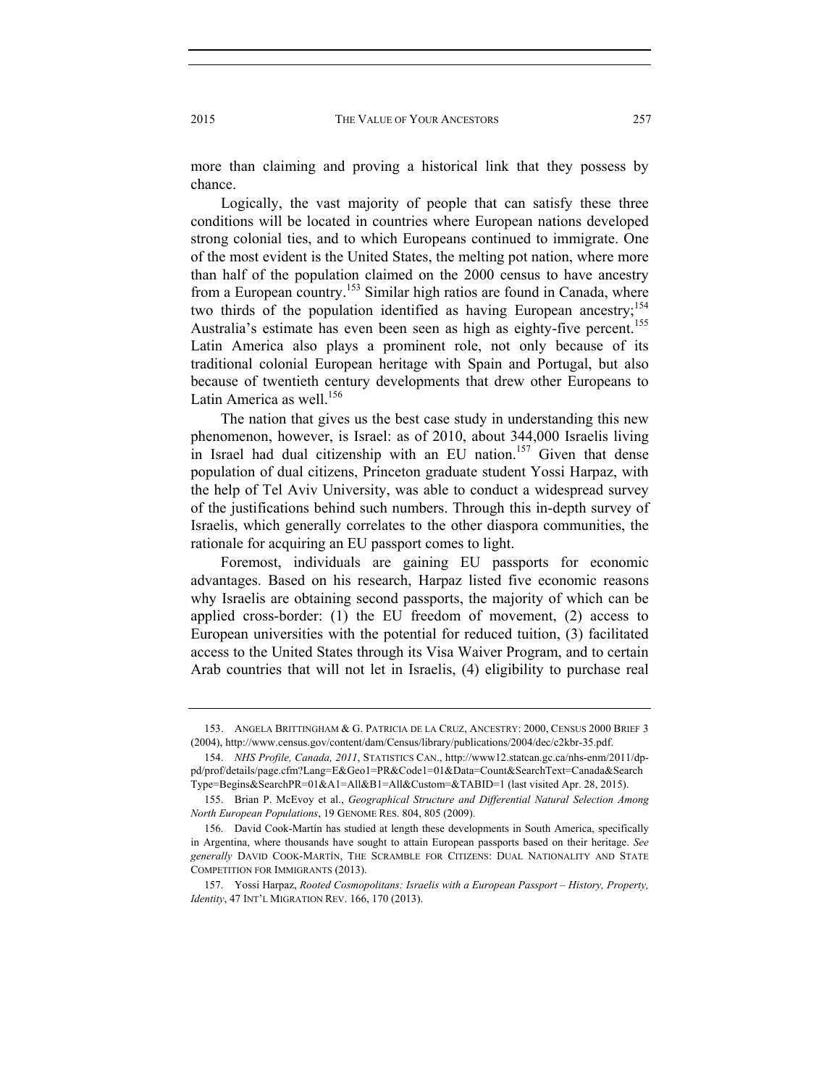more than claiming and proving a historical link that they possess by chance.

Logically, the vast majority of people that can satisfy these three conditions will be located in countries where European nations developed strong colonial ties, and to which Europeans continued to immigrate. One of the most evident is the United States, the melting pot nation, where more than half of the population claimed on the 2000 census to have ancestry from a European country.<sup>153</sup> Similar high ratios are found in Canada, where two thirds of the population identified as having European ancestry;<sup>154</sup> Australia's estimate has even been seen as high as eighty-five percent.<sup>155</sup> Latin America also plays a prominent role, not only because of its traditional colonial European heritage with Spain and Portugal, but also because of twentieth century developments that drew other Europeans to Latin America as well. $156$ 

The nation that gives us the best case study in understanding this new phenomenon, however, is Israel: as of 2010, about 344,000 Israelis living in Israel had dual citizenship with an EU nation.<sup>157</sup> Given that dense population of dual citizens, Princeton graduate student Yossi Harpaz, with the help of Tel Aviv University, was able to conduct a widespread survey of the justifications behind such numbers. Through this in-depth survey of Israelis, which generally correlates to the other diaspora communities, the rationale for acquiring an EU passport comes to light.

Foremost, individuals are gaining EU passports for economic advantages. Based on his research, Harpaz listed five economic reasons why Israelis are obtaining second passports, the majority of which can be applied cross-border: (1) the EU freedom of movement, (2) access to European universities with the potential for reduced tuition, (3) facilitated access to the United States through its Visa Waiver Program, and to certain Arab countries that will not let in Israelis, (4) eligibility to purchase real

 <sup>153.</sup> ANGELA BRITTINGHAM & G. PATRICIA DE LA CRUZ, ANCESTRY: 2000, CENSUS 2000 BRIEF 3 (2004), http://www.census.gov/content/dam/Census/library/publications/2004/dec/c2kbr-35.pdf.

 <sup>154.</sup> *NHS Profile, Canada, 2011*, STATISTICS CAN., http://www12.statcan.gc.ca/nhs-enm/2011/dppd/prof/details/page.cfm?Lang=E&Geo1=PR&Code1=01&Data=Count&SearchText=Canada&Search Type=Begins&SearchPR=01&A1=All&B1=All&Custom=&TABID=1 (last visited Apr. 28, 2015).

 <sup>155.</sup> Brian P. McEvoy et al., *Geographical Structure and Differential Natural Selection Among North European Populations*, 19 GENOME RES. 804, 805 (2009).

 <sup>156.</sup> David Cook-Martín has studied at length these developments in South America, specifically in Argentina, where thousands have sought to attain European passports based on their heritage. *See generally* DAVID COOK-MARTÍN, THE SCRAMBLE FOR CITIZENS: DUAL NATIONALITY AND STATE COMPETITION FOR IMMIGRANTS (2013).

 <sup>157.</sup> Yossi Harpaz, *Rooted Cosmopolitans: Israelis with a European Passport – History, Property, Identity*, 47 INT'L MIGRATION REV. 166, 170 (2013).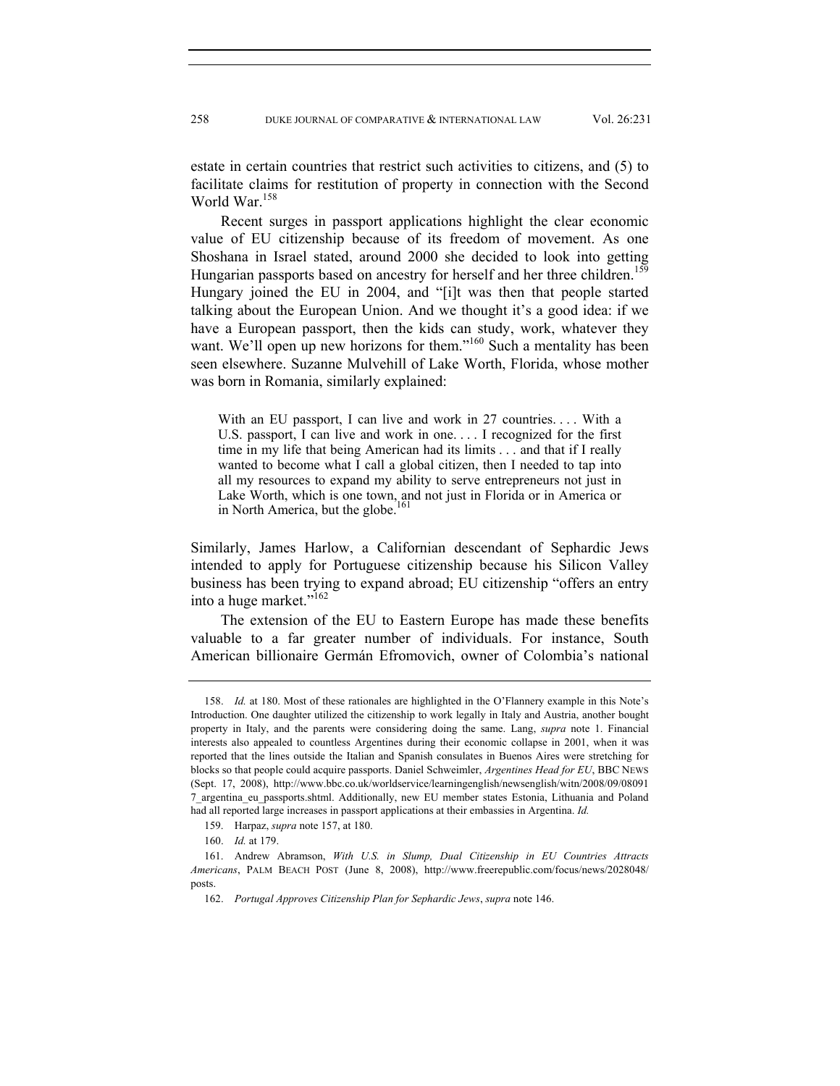estate in certain countries that restrict such activities to citizens, and (5) to facilitate claims for restitution of property in connection with the Second World War.<sup>158</sup>

Recent surges in passport applications highlight the clear economic value of EU citizenship because of its freedom of movement. As one Shoshana in Israel stated, around 2000 she decided to look into getting Hungarian passports based on ancestry for herself and her three children.<sup>159</sup> Hungary joined the EU in 2004, and "[i]t was then that people started talking about the European Union. And we thought it's a good idea: if we have a European passport, then the kids can study, work, whatever they want. We'll open up new horizons for them."<sup>160</sup> Such a mentality has been seen elsewhere. Suzanne Mulvehill of Lake Worth, Florida, whose mother was born in Romania, similarly explained:

With an EU passport, I can live and work in 27 countries.... With a U.S. passport, I can live and work in one. . . . I recognized for the first time in my life that being American had its limits . . . and that if I really wanted to become what I call a global citizen, then I needed to tap into all my resources to expand my ability to serve entrepreneurs not just in Lake Worth, which is one town, and not just in Florida or in America or in North America, but the globe.<sup>161</sup>

Similarly, James Harlow, a Californian descendant of Sephardic Jews intended to apply for Portuguese citizenship because his Silicon Valley business has been trying to expand abroad; EU citizenship "offers an entry into a huge market."<sup>162</sup>

The extension of the EU to Eastern Europe has made these benefits valuable to a far greater number of individuals. For instance, South American billionaire Germán Efromovich, owner of Colombia's national

 <sup>158.</sup> *Id.* at 180. Most of these rationales are highlighted in the O'Flannery example in this Note's Introduction. One daughter utilized the citizenship to work legally in Italy and Austria, another bought property in Italy, and the parents were considering doing the same. Lang, *supra* note 1. Financial interests also appealed to countless Argentines during their economic collapse in 2001, when it was reported that the lines outside the Italian and Spanish consulates in Buenos Aires were stretching for blocks so that people could acquire passports. Daniel Schweimler, *Argentines Head for EU*, BBC NEWS (Sept. 17, 2008), http://www.bbc.co.uk/worldservice/learningenglish/newsenglish/witn/2008/09/08091 7\_argentina\_eu\_passports.shtml. Additionally, new EU member states Estonia, Lithuania and Poland had all reported large increases in passport applications at their embassies in Argentina. *Id.* 

 <sup>159.</sup> Harpaz, *supra* note 157, at 180.

 <sup>160.</sup> *Id.* at 179.

 <sup>161.</sup> Andrew Abramson, *With U.S. in Slump, Dual Citizenship in EU Countries Attracts Americans*, PALM BEACH POST (June 8, 2008), http://www.freerepublic.com/focus/news/2028048/ posts.

 <sup>162.</sup> *Portugal Approves Citizenship Plan for Sephardic Jews*, *supra* note 146.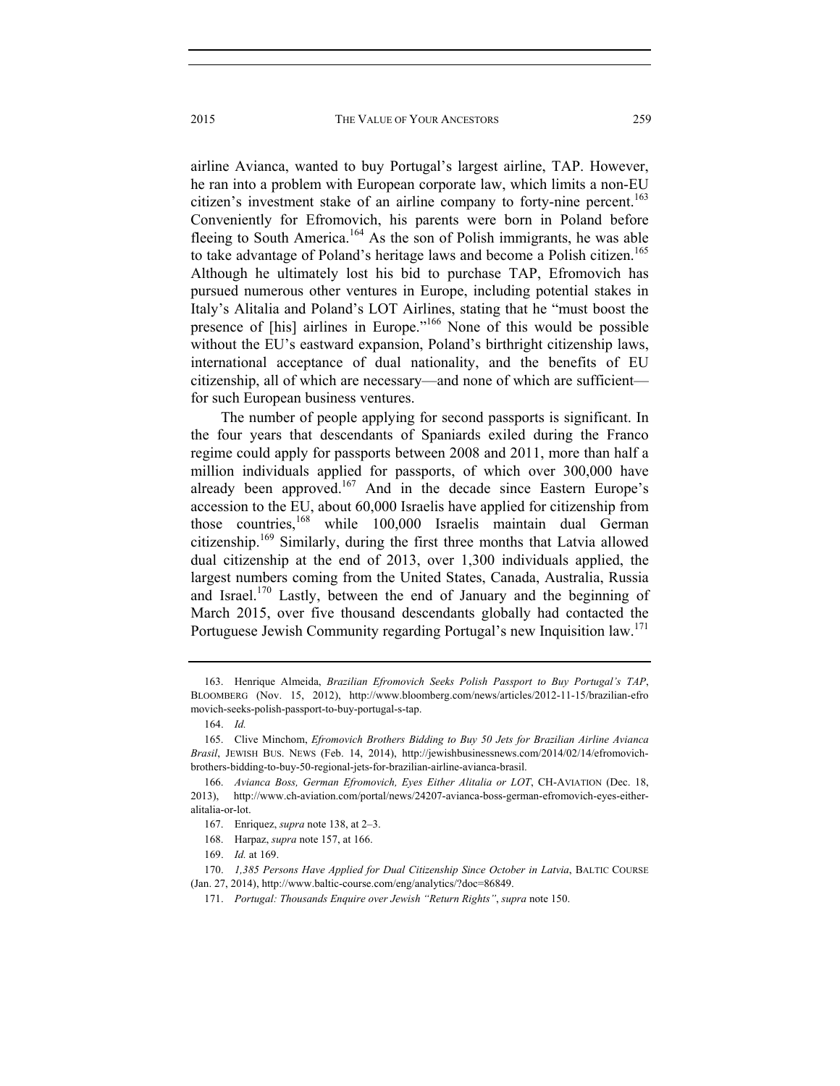airline Avianca, wanted to buy Portugal's largest airline, TAP. However, he ran into a problem with European corporate law, which limits a non-EU citizen's investment stake of an airline company to forty-nine percent.<sup>163</sup> Conveniently for Efromovich, his parents were born in Poland before fleeing to South America.<sup>164</sup> As the son of Polish immigrants, he was able to take advantage of Poland's heritage laws and become a Polish citizen.<sup>165</sup> Although he ultimately lost his bid to purchase TAP, Efromovich has pursued numerous other ventures in Europe, including potential stakes in Italy's Alitalia and Poland's LOT Airlines, stating that he "must boost the presence of [his] airlines in Europe."166 None of this would be possible without the EU's eastward expansion, Poland's birthright citizenship laws, international acceptance of dual nationality, and the benefits of EU citizenship, all of which are necessary—and none of which are sufficient for such European business ventures.

The number of people applying for second passports is significant. In the four years that descendants of Spaniards exiled during the Franco regime could apply for passports between 2008 and 2011, more than half a million individuals applied for passports, of which over 300,000 have already been approved.<sup>167</sup> And in the decade since Eastern Europe's accession to the EU, about 60,000 Israelis have applied for citizenship from those countries,<sup>168</sup> while 100,000 Israelis maintain dual German citizenship.169 Similarly, during the first three months that Latvia allowed dual citizenship at the end of 2013, over 1,300 individuals applied, the largest numbers coming from the United States, Canada, Australia, Russia and Israel.170 Lastly, between the end of January and the beginning of March 2015, over five thousand descendants globally had contacted the Portuguese Jewish Community regarding Portugal's new Inquisition law.<sup>171</sup>

 <sup>163.</sup> Henrique Almeida, *Brazilian Efromovich Seeks Polish Passport to Buy Portugal's TAP*, BLOOMBERG (Nov. 15, 2012), http://www.bloomberg.com/news/articles/2012-11-15/brazilian-efro movich-seeks-polish-passport-to-buy-portugal-s-tap.

 <sup>164.</sup> *Id.*

 <sup>165.</sup> Clive Minchom, *Efromovich Brothers Bidding to Buy 50 Jets for Brazilian Airline Avianca Brasil*, JEWISH BUS. NEWS (Feb. 14, 2014), http://jewishbusinessnews.com/2014/02/14/efromovichbrothers-bidding-to-buy-50-regional-jets-for-brazilian-airline-avianca-brasil.

 <sup>166.</sup> *Avianca Boss, German Efromovich, Eyes Either Alitalia or LOT*, CH-AVIATION (Dec. 18, 2013), http://www.ch-aviation.com/portal/news/24207-avianca-boss-german-efromovich-eyes-eitheralitalia-or-lot.

 <sup>167.</sup> Enriquez, *supra* note 138, at 2–3.

 <sup>168.</sup> Harpaz, *supra* note 157, at 166.

 <sup>169.</sup> *Id.* at 169.

 <sup>170.</sup> *1,385 Persons Have Applied for Dual Citizenship Since October in Latvia*, BALTIC COURSE (Jan. 27, 2014), http://www.baltic-course.com/eng/analytics/?doc=86849.

 <sup>171.</sup> *Portugal: Thousands Enquire over Jewish "Return Rights"*, *supra* note 150.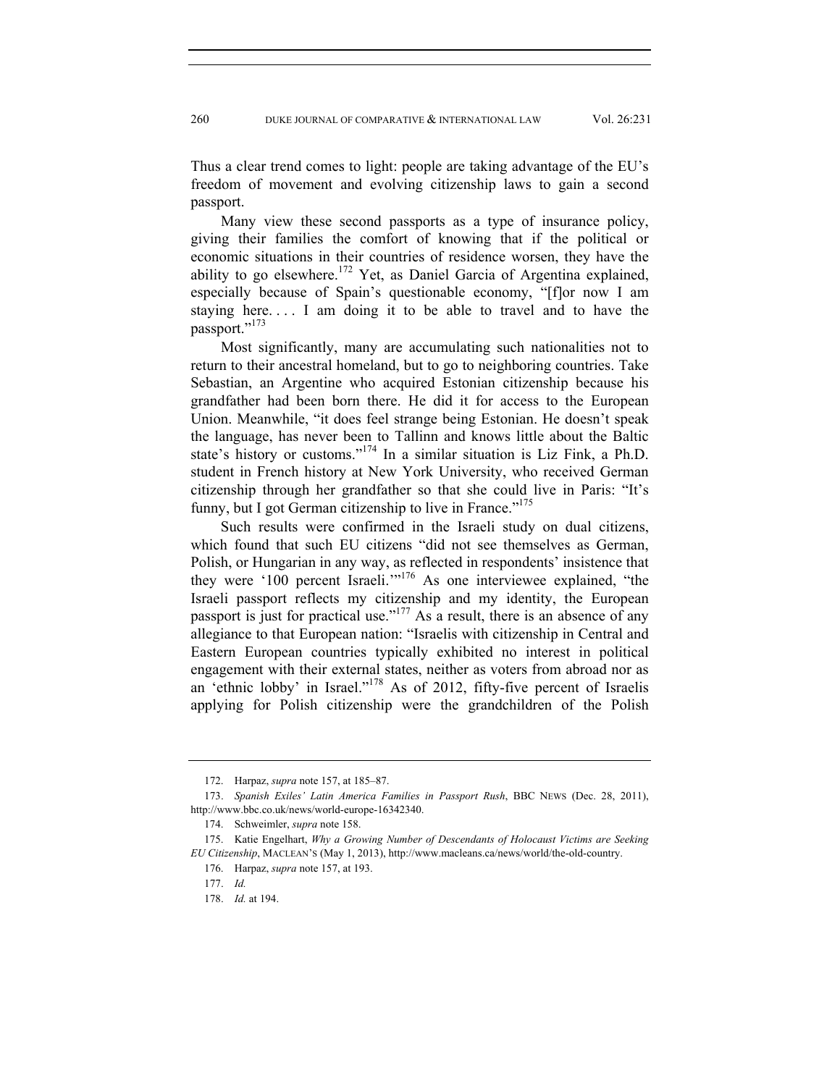Thus a clear trend comes to light: people are taking advantage of the EU's freedom of movement and evolving citizenship laws to gain a second passport.

Many view these second passports as a type of insurance policy, giving their families the comfort of knowing that if the political or economic situations in their countries of residence worsen, they have the ability to go elsewhere.<sup>172</sup> Yet, as Daniel Garcia of Argentina explained, especially because of Spain's questionable economy, "[f]or now I am staying here. . . . I am doing it to be able to travel and to have the passport."<sup>173</sup>

Most significantly, many are accumulating such nationalities not to return to their ancestral homeland, but to go to neighboring countries. Take Sebastian, an Argentine who acquired Estonian citizenship because his grandfather had been born there. He did it for access to the European Union. Meanwhile, "it does feel strange being Estonian. He doesn't speak the language, has never been to Tallinn and knows little about the Baltic state's history or customs."174 In a similar situation is Liz Fink, a Ph.D. student in French history at New York University, who received German citizenship through her grandfather so that she could live in Paris: "It's funny, but I got German citizenship to live in France." $175$ 

Such results were confirmed in the Israeli study on dual citizens, which found that such EU citizens "did not see themselves as German, Polish, or Hungarian in any way, as reflected in respondents' insistence that they were '100 percent Israeli.'"176 As one interviewee explained, "the Israeli passport reflects my citizenship and my identity, the European passport is just for practical use."<sup>177</sup> As a result, there is an absence of any allegiance to that European nation: "Israelis with citizenship in Central and Eastern European countries typically exhibited no interest in political engagement with their external states, neither as voters from abroad nor as an 'ethnic lobby' in Israel."178 As of 2012, fifty-five percent of Israelis applying for Polish citizenship were the grandchildren of the Polish

 <sup>172.</sup> Harpaz, *supra* note 157, at 185–87.

 <sup>173.</sup> *Spanish Exiles' Latin America Families in Passport Rush*, BBC NEWS (Dec. 28, 2011), http://www.bbc.co.uk/news/world-europe-16342340.

 <sup>174.</sup> Schweimler, *supra* note 158.

 <sup>175.</sup> Katie Engelhart, *Why a Growing Number of Descendants of Holocaust Victims are Seeking EU Citizenship*, MACLEAN'S (May 1, 2013), http://www.macleans.ca/news/world/the-old-country.

 <sup>176.</sup> Harpaz, *supra* note 157, at 193.

 <sup>177.</sup> *Id.* 

 <sup>178.</sup> *Id.* at 194.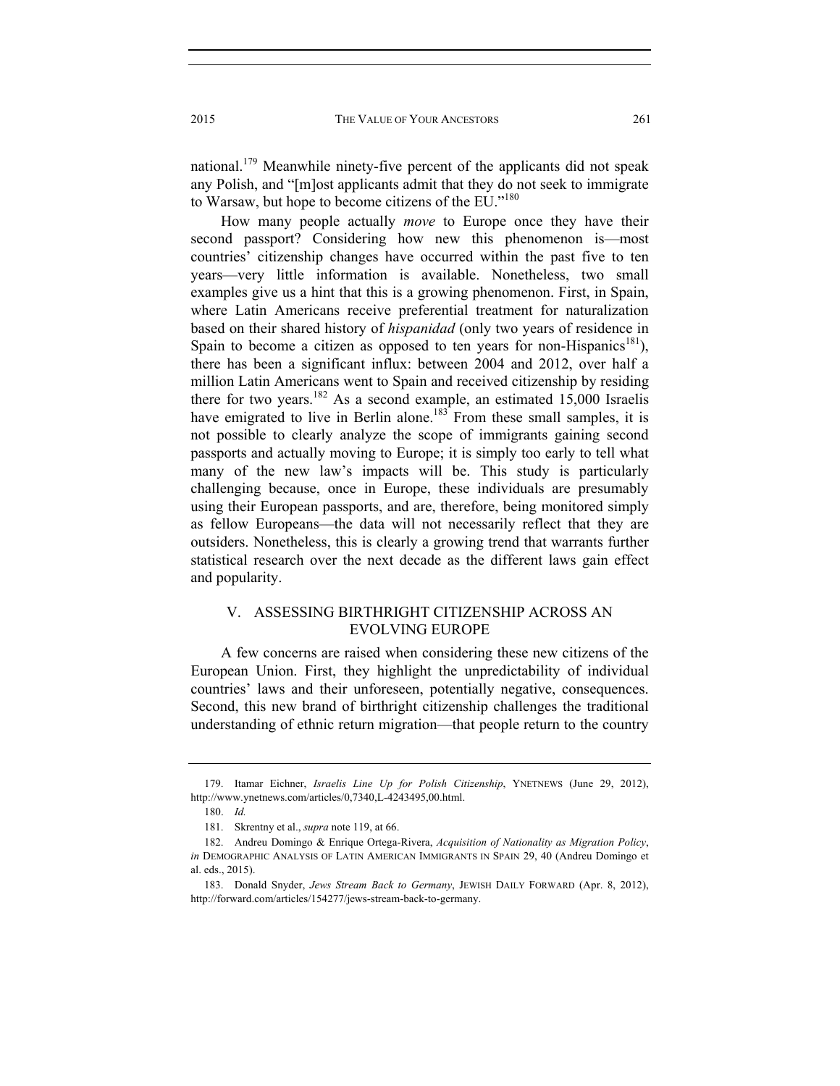national.<sup>179</sup> Meanwhile ninety-five percent of the applicants did not speak any Polish, and "[m]ost applicants admit that they do not seek to immigrate to Warsaw, but hope to become citizens of the EU."180

How many people actually *move* to Europe once they have their second passport? Considering how new this phenomenon is—most countries' citizenship changes have occurred within the past five to ten years—very little information is available. Nonetheless, two small examples give us a hint that this is a growing phenomenon. First, in Spain, where Latin Americans receive preferential treatment for naturalization based on their shared history of *hispanidad* (only two years of residence in Spain to become a citizen as opposed to ten years for non-Hispanics<sup>181</sup>), there has been a significant influx: between 2004 and 2012, over half a million Latin Americans went to Spain and received citizenship by residing there for two years.<sup>182</sup> As a second example, an estimated 15,000 Israelis have emigrated to live in Berlin alone.<sup>183</sup> From these small samples, it is not possible to clearly analyze the scope of immigrants gaining second passports and actually moving to Europe; it is simply too early to tell what many of the new law's impacts will be. This study is particularly challenging because, once in Europe, these individuals are presumably using their European passports, and are, therefore, being monitored simply as fellow Europeans—the data will not necessarily reflect that they are outsiders. Nonetheless, this is clearly a growing trend that warrants further statistical research over the next decade as the different laws gain effect and popularity.

# V. ASSESSING BIRTHRIGHT CITIZENSHIP ACROSS AN EVOLVING EUROPE

A few concerns are raised when considering these new citizens of the European Union. First, they highlight the unpredictability of individual countries' laws and their unforeseen, potentially negative, consequences. Second, this new brand of birthright citizenship challenges the traditional understanding of ethnic return migration—that people return to the country

 <sup>179.</sup> Itamar Eichner, *Israelis Line Up for Polish Citizenship*, YNETNEWS (June 29, 2012), http://www.ynetnews.com/articles/0,7340,L-4243495,00.html.

 <sup>180.</sup> *Id.* 

 <sup>181.</sup> Skrentny et al., *supra* note 119, at 66.

 <sup>182.</sup> Andreu Domingo & Enrique Ortega-Rivera, *Acquisition of Nationality as Migration Policy*, *in* DEMOGRAPHIC ANALYSIS OF LATIN AMERICAN IMMIGRANTS IN SPAIN 29, 40 (Andreu Domingo et al. eds., 2015).

 <sup>183.</sup> Donald Snyder, *Jews Stream Back to Germany*, JEWISH DAILY FORWARD (Apr. 8, 2012), http://forward.com/articles/154277/jews-stream-back-to-germany.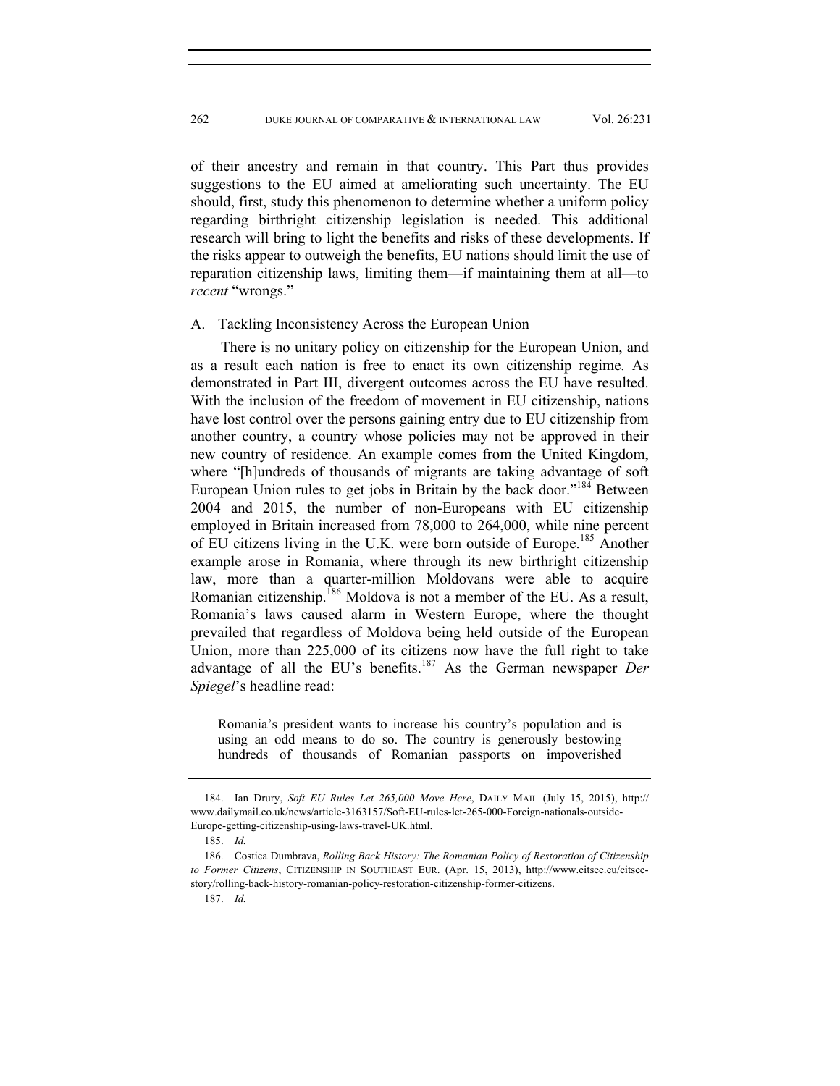of their ancestry and remain in that country. This Part thus provides suggestions to the EU aimed at ameliorating such uncertainty. The EU should, first, study this phenomenon to determine whether a uniform policy regarding birthright citizenship legislation is needed. This additional research will bring to light the benefits and risks of these developments. If the risks appear to outweigh the benefits, EU nations should limit the use of reparation citizenship laws, limiting them—if maintaining them at all—to *recent* "wrongs."

#### A. Tackling Inconsistency Across the European Union

There is no unitary policy on citizenship for the European Union, and as a result each nation is free to enact its own citizenship regime. As demonstrated in Part III, divergent outcomes across the EU have resulted. With the inclusion of the freedom of movement in EU citizenship, nations have lost control over the persons gaining entry due to EU citizenship from another country, a country whose policies may not be approved in their new country of residence. An example comes from the United Kingdom, where "[h]undreds of thousands of migrants are taking advantage of soft European Union rules to get jobs in Britain by the back door."<sup>184</sup> Between 2004 and 2015, the number of non-Europeans with EU citizenship employed in Britain increased from 78,000 to 264,000, while nine percent of EU citizens living in the U.K. were born outside of Europe.<sup>185</sup> Another example arose in Romania, where through its new birthright citizenship law, more than a quarter-million Moldovans were able to acquire Romanian citizenship.<sup>186</sup> Moldova is not a member of the EU. As a result, Romania's laws caused alarm in Western Europe, where the thought prevailed that regardless of Moldova being held outside of the European Union, more than 225,000 of its citizens now have the full right to take advantage of all the EU's benefits.187 As the German newspaper *Der Spiegel*'s headline read:

Romania's president wants to increase his country's population and is using an odd means to do so. The country is generously bestowing hundreds of thousands of Romanian passports on impoverished

 <sup>184.</sup> Ian Drury, *Soft EU Rules Let 265,000 Move Here*, DAILY MAIL (July 15, 2015), http:// www.dailymail.co.uk/news/article-3163157/Soft-EU-rules-let-265-000-Foreign-nationals-outside-Europe-getting-citizenship-using-laws-travel-UK.html.

 <sup>185.</sup> *Id.*

 <sup>186.</sup> Costica Dumbrava, *Rolling Back History: The Romanian Policy of Restoration of Citizenship to Former Citizens*, CITIZENSHIP IN SOUTHEAST EUR. (Apr. 15, 2013), http://www.citsee.eu/citseestory/rolling-back-history-romanian-policy-restoration-citizenship-former-citizens.

 <sup>187.</sup> *Id.*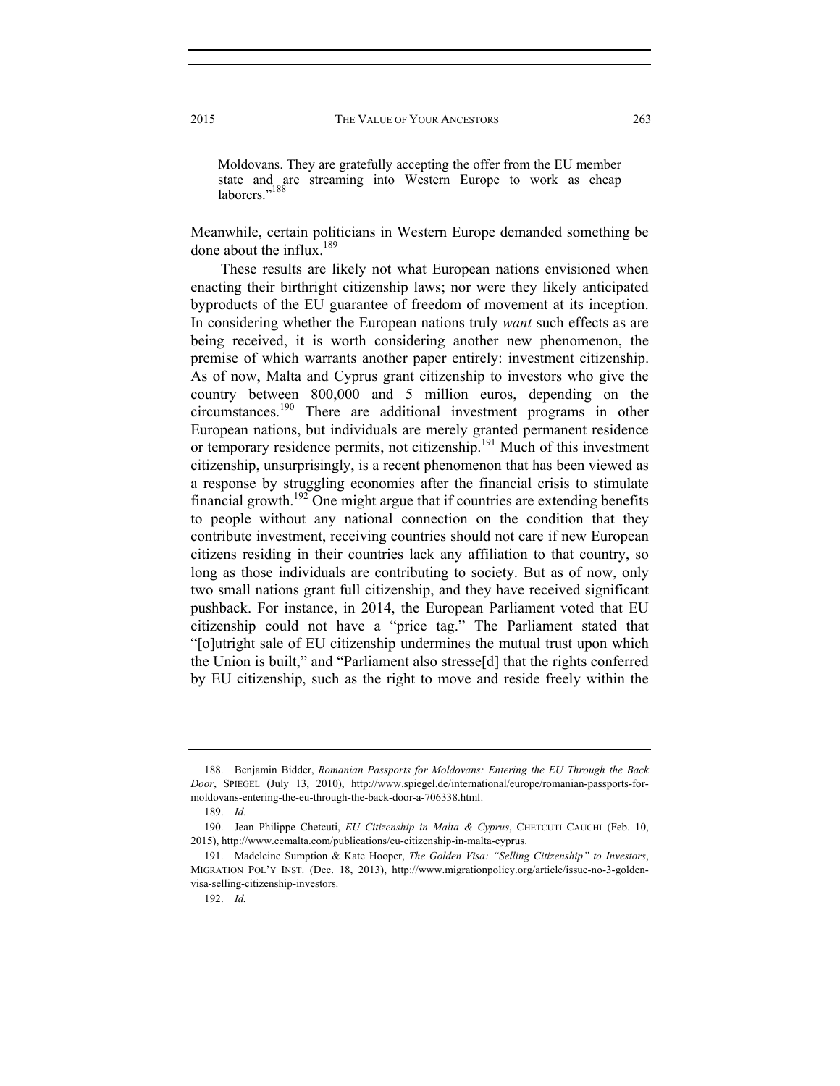Moldovans. They are gratefully accepting the offer from the EU member state and are streaming into Western Europe to work as cheap laborers."<sup>188</sup>

Meanwhile, certain politicians in Western Europe demanded something be done about the influx.<sup>189</sup>

These results are likely not what European nations envisioned when enacting their birthright citizenship laws; nor were they likely anticipated byproducts of the EU guarantee of freedom of movement at its inception. In considering whether the European nations truly *want* such effects as are being received, it is worth considering another new phenomenon, the premise of which warrants another paper entirely: investment citizenship. As of now, Malta and Cyprus grant citizenship to investors who give the country between 800,000 and 5 million euros, depending on the circumstances.190 There are additional investment programs in other European nations, but individuals are merely granted permanent residence or temporary residence permits, not citizenship.191 Much of this investment citizenship, unsurprisingly, is a recent phenomenon that has been viewed as a response by struggling economies after the financial crisis to stimulate financial growth.<sup>192</sup> One might argue that if countries are extending benefits to people without any national connection on the condition that they contribute investment, receiving countries should not care if new European citizens residing in their countries lack any affiliation to that country, so long as those individuals are contributing to society. But as of now, only two small nations grant full citizenship, and they have received significant pushback. For instance, in 2014, the European Parliament voted that EU citizenship could not have a "price tag." The Parliament stated that "[o]utright sale of EU citizenship undermines the mutual trust upon which the Union is built," and "Parliament also stresse[d] that the rights conferred by EU citizenship, such as the right to move and reside freely within the

 <sup>188.</sup> Benjamin Bidder, *Romanian Passports for Moldovans: Entering the EU Through the Back Door*, SPIEGEL (July 13, 2010), http://www.spiegel.de/international/europe/romanian-passports-formoldovans-entering-the-eu-through-the-back-door-a-706338.html.

 <sup>189.</sup> *Id.* 

 <sup>190.</sup> Jean Philippe Chetcuti, *EU Citizenship in Malta & Cyprus*, CHETCUTI CAUCHI (Feb. 10, 2015), http://www.ccmalta.com/publications/eu-citizenship-in-malta-cyprus.

 <sup>191.</sup> Madeleine Sumption & Kate Hooper, *The Golden Visa: "Selling Citizenship" to Investors*, MIGRATION POL'Y INST. (Dec. 18, 2013), http://www.migrationpolicy.org/article/issue-no-3-goldenvisa-selling-citizenship-investors.

 <sup>192.</sup> *Id.*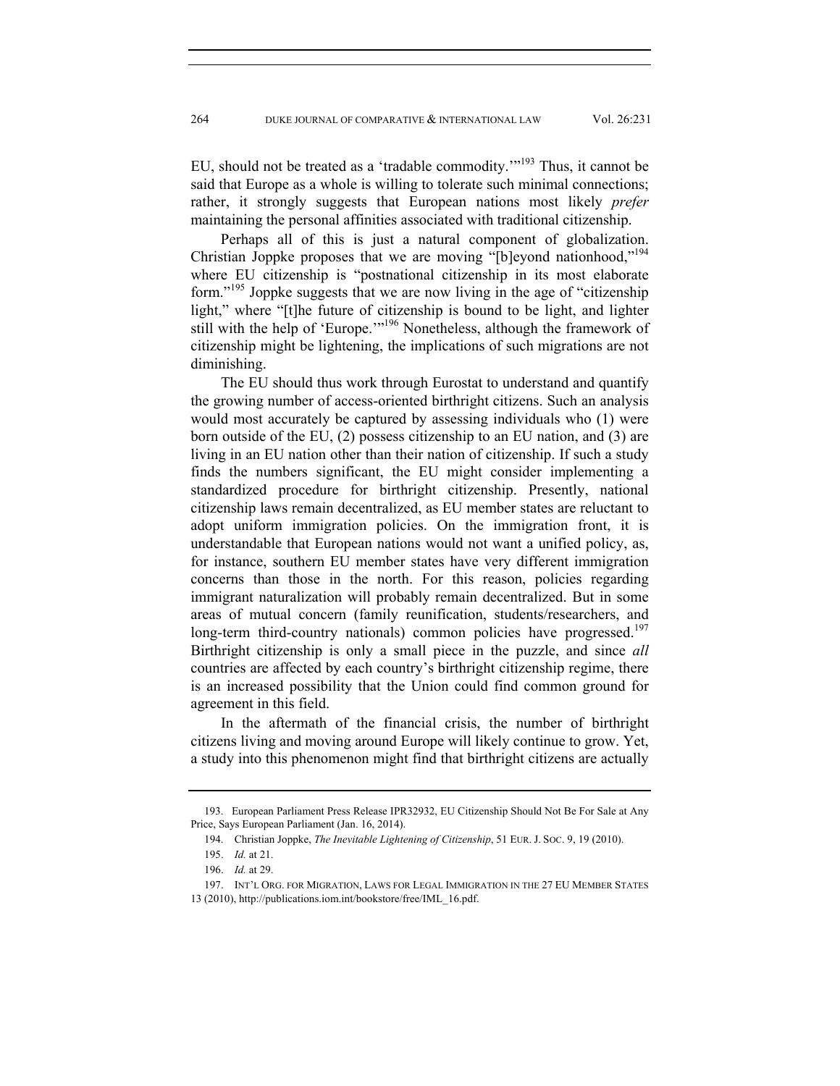EU, should not be treated as a 'tradable commodity.'"193 Thus, it cannot be said that Europe as a whole is willing to tolerate such minimal connections; rather, it strongly suggests that European nations most likely *prefer* maintaining the personal affinities associated with traditional citizenship.

Perhaps all of this is just a natural component of globalization. Christian Joppke proposes that we are moving "[b]eyond nationhood,"194 where EU citizenship is "postnational citizenship in its most elaborate form."<sup>195</sup> Joppke suggests that we are now living in the age of "citizenship" light," where "[t]he future of citizenship is bound to be light, and lighter still with the help of 'Europe.'"196 Nonetheless, although the framework of citizenship might be lightening, the implications of such migrations are not diminishing.

The EU should thus work through Eurostat to understand and quantify the growing number of access-oriented birthright citizens. Such an analysis would most accurately be captured by assessing individuals who (1) were born outside of the EU, (2) possess citizenship to an EU nation, and (3) are living in an EU nation other than their nation of citizenship. If such a study finds the numbers significant, the EU might consider implementing a standardized procedure for birthright citizenship. Presently, national citizenship laws remain decentralized, as EU member states are reluctant to adopt uniform immigration policies. On the immigration front, it is understandable that European nations would not want a unified policy, as, for instance, southern EU member states have very different immigration concerns than those in the north. For this reason, policies regarding immigrant naturalization will probably remain decentralized. But in some areas of mutual concern (family reunification, students/researchers, and long-term third-country nationals) common policies have progressed.<sup>197</sup> Birthright citizenship is only a small piece in the puzzle, and since *all* countries are affected by each country's birthright citizenship regime, there is an increased possibility that the Union could find common ground for agreement in this field.

In the aftermath of the financial crisis, the number of birthright citizens living and moving around Europe will likely continue to grow. Yet, a study into this phenomenon might find that birthright citizens are actually

 <sup>193.</sup> European Parliament Press Release IPR32932, EU Citizenship Should Not Be For Sale at Any Price, Says European Parliament (Jan. 16, 2014).

 <sup>194.</sup> Christian Joppke, *The Inevitable Lightening of Citizenship*, 51 EUR. J. SOC. 9, 19 (2010).

 <sup>195.</sup> *Id.* at 21.

 <sup>196.</sup> *Id.* at 29.

 <sup>197.</sup> INT'L ORG. FOR MIGRATION, LAWS FOR LEGAL IMMIGRATION IN THE 27 EU MEMBER STATES 13 (2010), http://publications.iom.int/bookstore/free/IML\_16.pdf.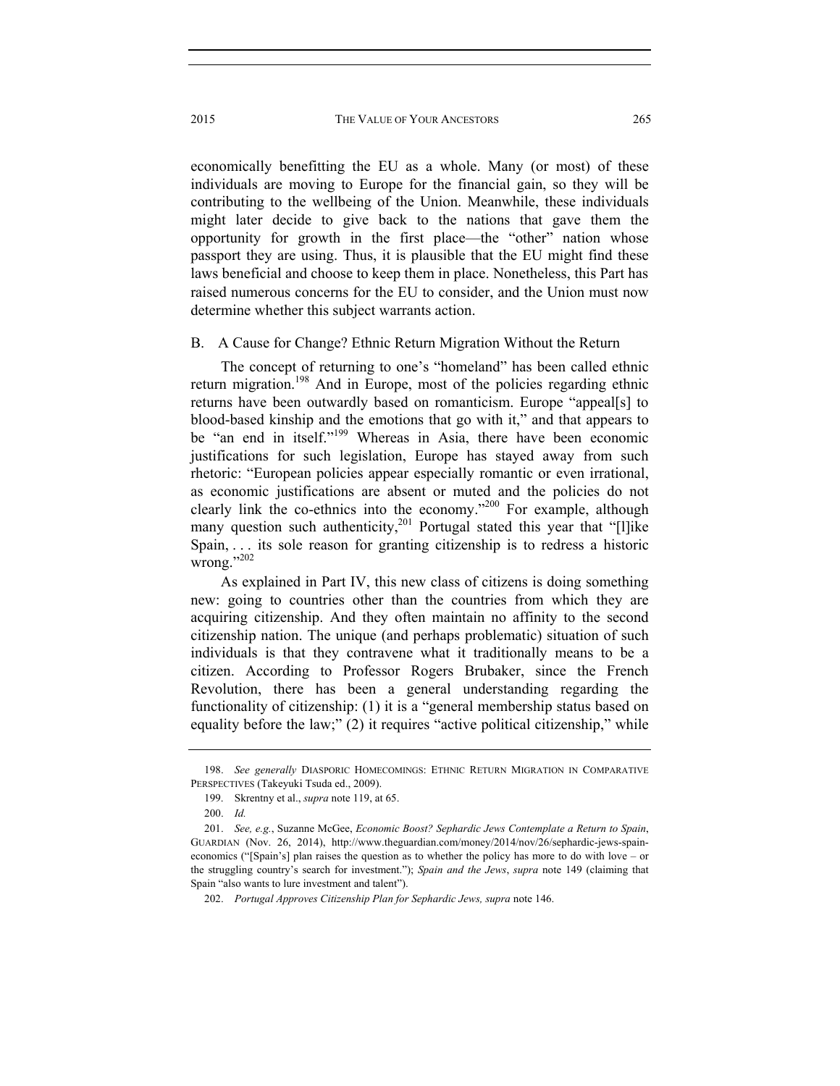economically benefitting the EU as a whole. Many (or most) of these individuals are moving to Europe for the financial gain, so they will be contributing to the wellbeing of the Union. Meanwhile, these individuals might later decide to give back to the nations that gave them the opportunity for growth in the first place—the "other" nation whose passport they are using. Thus, it is plausible that the EU might find these laws beneficial and choose to keep them in place. Nonetheless, this Part has raised numerous concerns for the EU to consider, and the Union must now determine whether this subject warrants action.

## B. A Cause for Change? Ethnic Return Migration Without the Return

The concept of returning to one's "homeland" has been called ethnic return migration.198 And in Europe, most of the policies regarding ethnic returns have been outwardly based on romanticism. Europe "appeal[s] to blood-based kinship and the emotions that go with it," and that appears to be "an end in itself."<sup>199</sup> Whereas in Asia, there have been economic justifications for such legislation, Europe has stayed away from such rhetoric: "European policies appear especially romantic or even irrational, as economic justifications are absent or muted and the policies do not clearly link the co-ethnics into the economy."200 For example, although many question such authenticity,<sup>201</sup> Portugal stated this year that "[l]ike Spain, . . . its sole reason for granting citizenship is to redress a historic wrong."202

As explained in Part IV, this new class of citizens is doing something new: going to countries other than the countries from which they are acquiring citizenship. And they often maintain no affinity to the second citizenship nation. The unique (and perhaps problematic) situation of such individuals is that they contravene what it traditionally means to be a citizen. According to Professor Rogers Brubaker, since the French Revolution, there has been a general understanding regarding the functionality of citizenship: (1) it is a "general membership status based on equality before the law;" (2) it requires "active political citizenship," while

 <sup>198.</sup> *See generally* DIASPORIC HOMECOMINGS: ETHNIC RETURN MIGRATION IN COMPARATIVE PERSPECTIVES (Takeyuki Tsuda ed., 2009).

 <sup>199.</sup> Skrentny et al., *supra* note 119, at 65.

 <sup>200.</sup> *Id.* 

 <sup>201.</sup> *See, e.g.*, Suzanne McGee, *Economic Boost? Sephardic Jews Contemplate a Return to Spain*, GUARDIAN (Nov. 26, 2014), http://www.theguardian.com/money/2014/nov/26/sephardic-jews-spaineconomics ("[Spain's] plan raises the question as to whether the policy has more to do with love – or the struggling country's search for investment."); *Spain and the Jews*, *supra* note 149 (claiming that Spain "also wants to lure investment and talent").

 <sup>202.</sup> *Portugal Approves Citizenship Plan for Sephardic Jews, supra* note 146.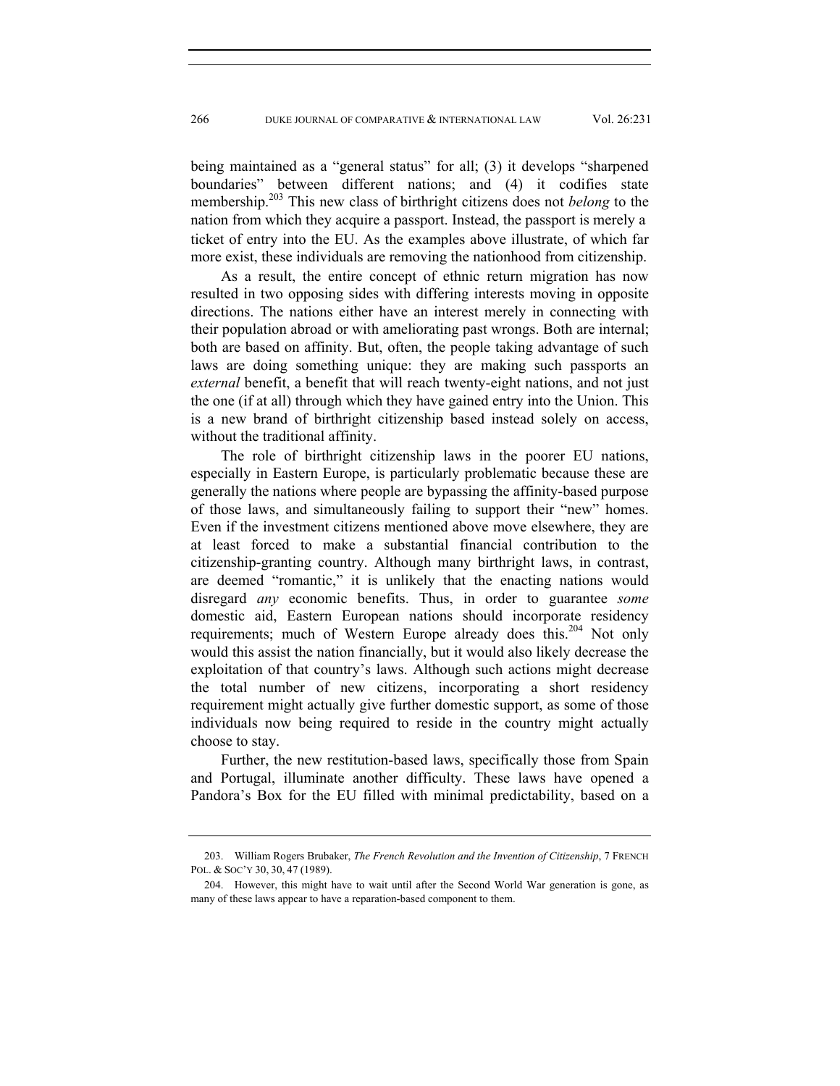being maintained as a "general status" for all; (3) it develops "sharpened boundaries" between different nations; and (4) it codifies state membership.203 This new class of birthright citizens does not *belong* to the nation from which they acquire a passport. Instead, the passport is merely a ticket of entry into the EU. As the examples above illustrate, of which far more exist, these individuals are removing the nationhood from citizenship.

As a result, the entire concept of ethnic return migration has now resulted in two opposing sides with differing interests moving in opposite directions. The nations either have an interest merely in connecting with their population abroad or with ameliorating past wrongs. Both are internal; both are based on affinity. But, often, the people taking advantage of such laws are doing something unique: they are making such passports an *external* benefit, a benefit that will reach twenty-eight nations, and not just the one (if at all) through which they have gained entry into the Union. This is a new brand of birthright citizenship based instead solely on access, without the traditional affinity.

The role of birthright citizenship laws in the poorer EU nations, especially in Eastern Europe, is particularly problematic because these are generally the nations where people are bypassing the affinity-based purpose of those laws, and simultaneously failing to support their "new" homes. Even if the investment citizens mentioned above move elsewhere, they are at least forced to make a substantial financial contribution to the citizenship-granting country. Although many birthright laws, in contrast, are deemed "romantic," it is unlikely that the enacting nations would disregard *any* economic benefits. Thus, in order to guarantee *some* domestic aid, Eastern European nations should incorporate residency requirements; much of Western Europe already does this.<sup>204</sup> Not only would this assist the nation financially, but it would also likely decrease the exploitation of that country's laws. Although such actions might decrease the total number of new citizens, incorporating a short residency requirement might actually give further domestic support, as some of those individuals now being required to reside in the country might actually choose to stay.

Further, the new restitution-based laws, specifically those from Spain and Portugal, illuminate another difficulty. These laws have opened a Pandora's Box for the EU filled with minimal predictability, based on a

 <sup>203.</sup> William Rogers Brubaker, *The French Revolution and the Invention of Citizenship*, 7 FRENCH POL. & SOC'Y 30, 30, 47 (1989).

 <sup>204.</sup> However, this might have to wait until after the Second World War generation is gone, as many of these laws appear to have a reparation-based component to them.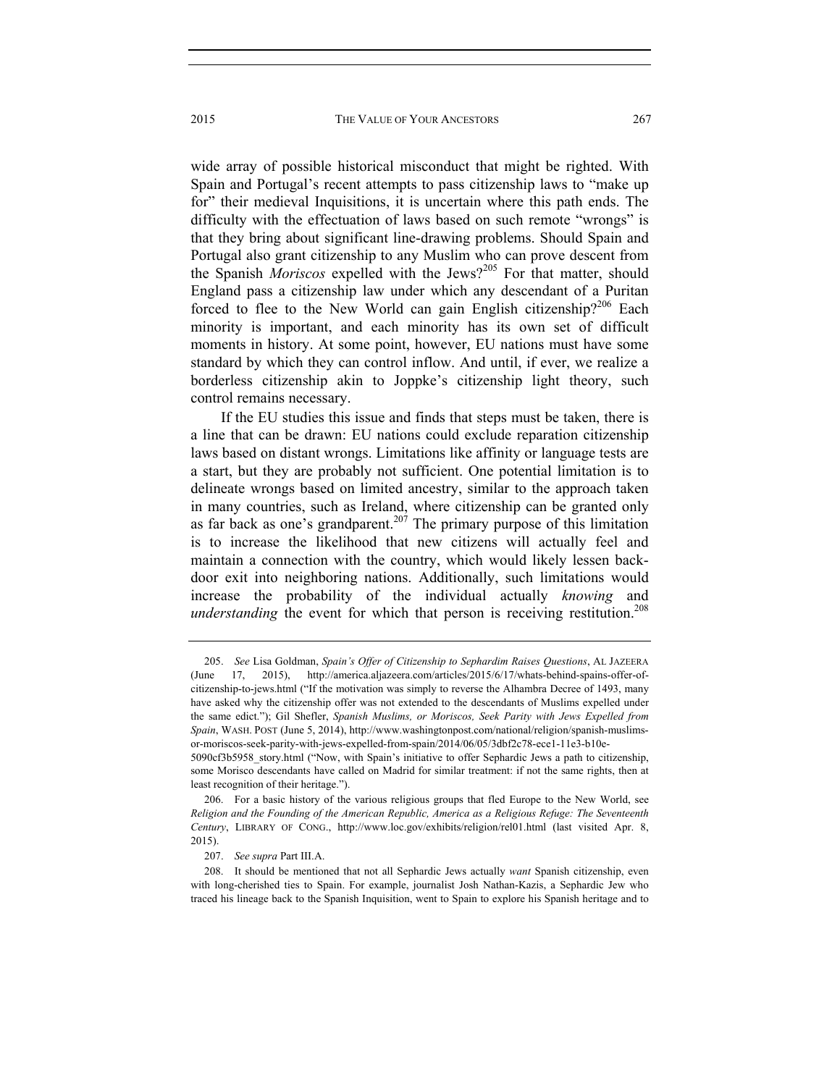wide array of possible historical misconduct that might be righted. With Spain and Portugal's recent attempts to pass citizenship laws to "make up for" their medieval Inquisitions, it is uncertain where this path ends. The difficulty with the effectuation of laws based on such remote "wrongs" is that they bring about significant line-drawing problems. Should Spain and Portugal also grant citizenship to any Muslim who can prove descent from the Spanish *Moriscos* expelled with the Jews?<sup>205</sup> For that matter, should England pass a citizenship law under which any descendant of a Puritan forced to flee to the New World can gain English citizenship?<sup>206</sup> Each minority is important, and each minority has its own set of difficult moments in history. At some point, however, EU nations must have some standard by which they can control inflow. And until, if ever, we realize a borderless citizenship akin to Joppke's citizenship light theory, such control remains necessary.

If the EU studies this issue and finds that steps must be taken, there is a line that can be drawn: EU nations could exclude reparation citizenship laws based on distant wrongs. Limitations like affinity or language tests are a start, but they are probably not sufficient. One potential limitation is to delineate wrongs based on limited ancestry, similar to the approach taken in many countries, such as Ireland, where citizenship can be granted only as far back as one's grandparent.<sup>207</sup> The primary purpose of this limitation is to increase the likelihood that new citizens will actually feel and maintain a connection with the country, which would likely lessen backdoor exit into neighboring nations. Additionally, such limitations would increase the probability of the individual actually *knowing* and *understanding* the event for which that person is receiving restitution.<sup>208</sup>

 <sup>205.</sup> *See* Lisa Goldman, *Spain's Offer of Citizenship to Sephardim Raises Questions*, AL JAZEERA (June 17, 2015), http://america.aljazeera.com/articles/2015/6/17/whats-behind-spains-offer-ofcitizenship-to-jews.html ("If the motivation was simply to reverse the Alhambra Decree of 1493, many have asked why the citizenship offer was not extended to the descendants of Muslims expelled under the same edict."); Gil Shefler, *Spanish Muslims, or Moriscos, Seek Parity with Jews Expelled from Spain*, WASH. POST (June 5, 2014), http://www.washingtonpost.com/national/religion/spanish-muslimsor-moriscos-seek-parity-with-jews-expelled-from-spain/2014/06/05/3dbf2c78-ece1-11e3-b10e-5090cf3b5958\_story.html ("Now, with Spain's initiative to offer Sephardic Jews a path to citizenship, some Morisco descendants have called on Madrid for similar treatment: if not the same rights, then at least recognition of their heritage.").

 <sup>206.</sup> For a basic history of the various religious groups that fled Europe to the New World, see *Religion and the Founding of the American Republic, America as a Religious Refuge: The Seventeenth Century*, LIBRARY OF CONG., http://www.loc.gov/exhibits/religion/rel01.html (last visited Apr. 8, 2015).

 <sup>207.</sup> *See supra* Part III.A.

 <sup>208.</sup> It should be mentioned that not all Sephardic Jews actually *want* Spanish citizenship, even with long-cherished ties to Spain. For example, journalist Josh Nathan-Kazis, a Sephardic Jew who traced his lineage back to the Spanish Inquisition, went to Spain to explore his Spanish heritage and to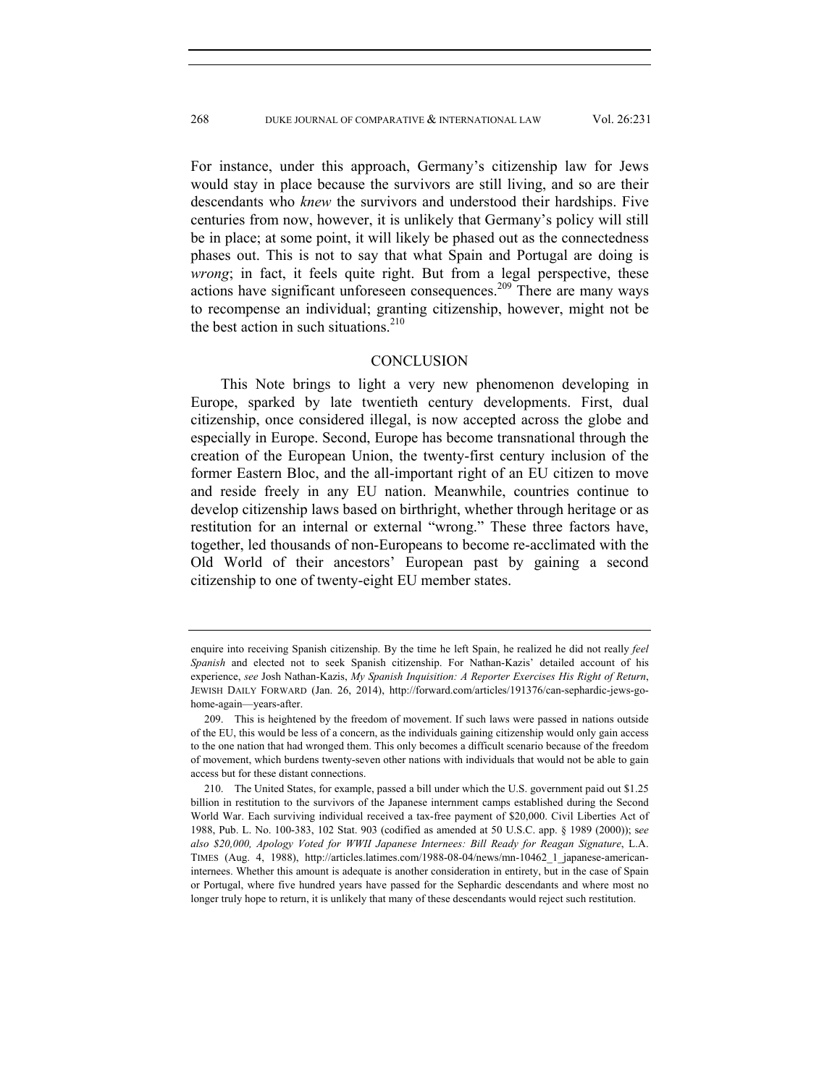For instance, under this approach, Germany's citizenship law for Jews would stay in place because the survivors are still living, and so are their descendants who *knew* the survivors and understood their hardships. Five centuries from now, however, it is unlikely that Germany's policy will still be in place; at some point, it will likely be phased out as the connectedness phases out. This is not to say that what Spain and Portugal are doing is *wrong*; in fact, it feels quite right. But from a legal perspective, these actions have significant unforeseen consequences.209 There are many ways to recompense an individual; granting citizenship, however, might not be the best action in such situations. $210$ 

## **CONCLUSION**

This Note brings to light a very new phenomenon developing in Europe, sparked by late twentieth century developments. First, dual citizenship, once considered illegal, is now accepted across the globe and especially in Europe. Second, Europe has become transnational through the creation of the European Union, the twenty-first century inclusion of the former Eastern Bloc, and the all-important right of an EU citizen to move and reside freely in any EU nation. Meanwhile, countries continue to develop citizenship laws based on birthright, whether through heritage or as restitution for an internal or external "wrong." These three factors have, together, led thousands of non-Europeans to become re-acclimated with the Old World of their ancestors' European past by gaining a second citizenship to one of twenty-eight EU member states.

enquire into receiving Spanish citizenship. By the time he left Spain, he realized he did not really *feel Spanish* and elected not to seek Spanish citizenship. For Nathan-Kazis' detailed account of his experience, *see* Josh Nathan-Kazis, *My Spanish Inquisition: A Reporter Exercises His Right of Return*, JEWISH DAILY FORWARD (Jan. 26, 2014), http://forward.com/articles/191376/can-sephardic-jews-gohome-again—years-after.

 <sup>209.</sup> This is heightened by the freedom of movement. If such laws were passed in nations outside of the EU, this would be less of a concern, as the individuals gaining citizenship would only gain access to the one nation that had wronged them. This only becomes a difficult scenario because of the freedom of movement, which burdens twenty-seven other nations with individuals that would not be able to gain access but for these distant connections.

 <sup>210.</sup> The United States, for example, passed a bill under which the U.S. government paid out \$1.25 billion in restitution to the survivors of the Japanese internment camps established during the Second World War. Each surviving individual received a tax-free payment of \$20,000. Civil Liberties Act of 1988, Pub. L. No. 100-383, 102 Stat. 903 (codified as amended at 50 U.S.C. app. § 1989 (2000)); s*ee also \$20,000, Apology Voted for WWII Japanese Internees: Bill Ready for Reagan Signature*, L.A. TIMES (Aug. 4, 1988), http://articles.latimes.com/1988-08-04/news/mn-10462\_1\_japanese-americaninternees. Whether this amount is adequate is another consideration in entirety, but in the case of Spain or Portugal, where five hundred years have passed for the Sephardic descendants and where most no longer truly hope to return, it is unlikely that many of these descendants would reject such restitution.